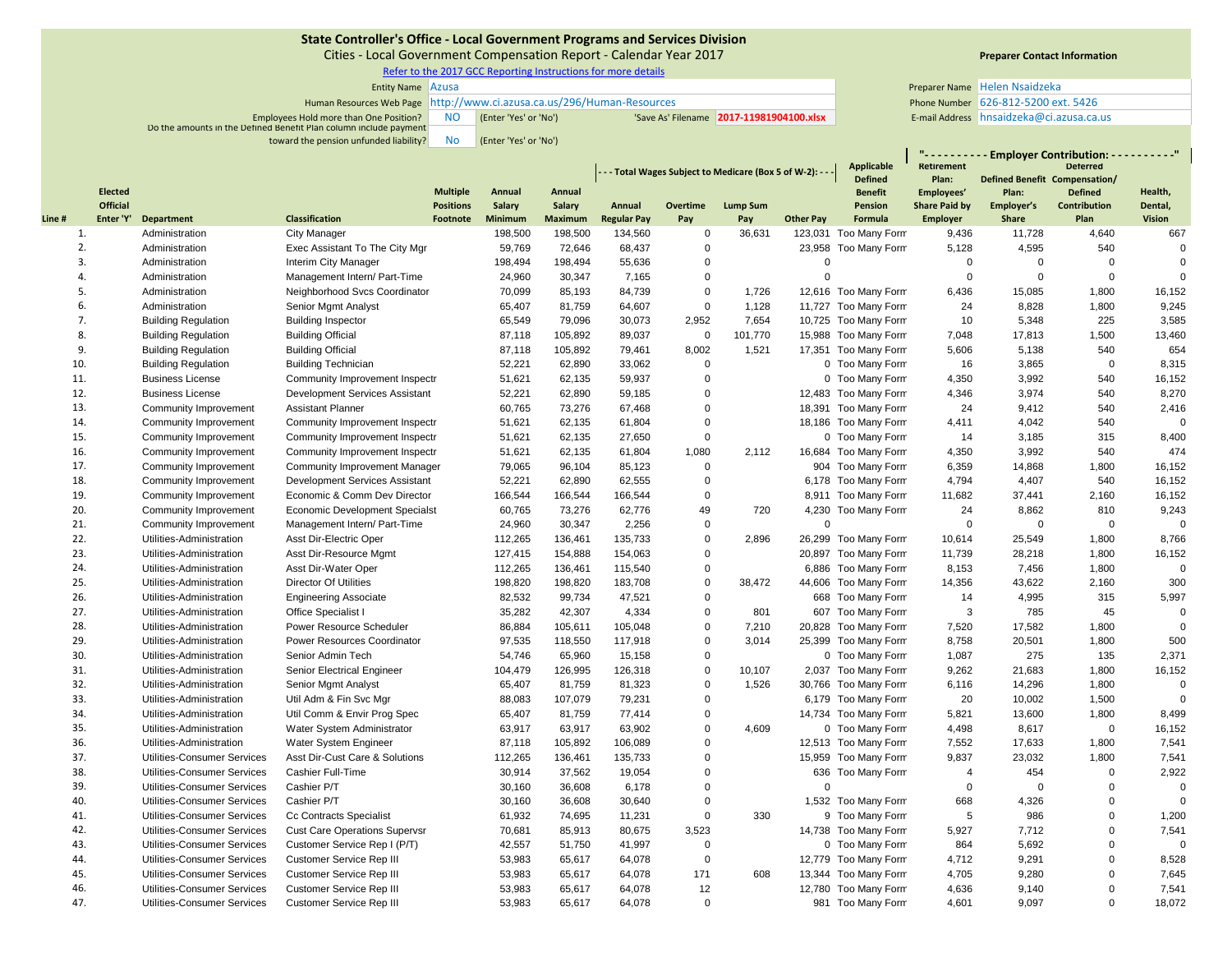Cities ‐ Local Government Compensation Report ‐ Calendar Year 2017

Refer to the 2017 GCC Reporting Instructions for more details

| <b>Entity Name Azusa</b>                                               |           |                       |                                         | Preparer Name Helen Nsaidzeka         |  |
|------------------------------------------------------------------------|-----------|-----------------------|-----------------------------------------|---------------------------------------|--|
| Human Resources Web Page http://www.ci.azusa.ca.us/296/Human-Resources |           |                       |                                         | Phone Number 626-812-5200 ext. 5426   |  |
| Employees Hold more than One Position?                                 | <b>NO</b> | (Enter 'Yes' or 'No') | Save As' Filename 2017-11981904100.xlsx | E-mail Address hnsaidzeka@ci.azusa.ca |  |
| Do the amounts in the Defined Benefit Plan column include payment      |           |                       |                                         |                                       |  |
| toward the pension unfunded liability?                                 | <b>No</b> | (Enter 'Yes' or 'No') |                                         |                                       |  |

# **Preparer Contact Information**

E-mail Address hnsaidzeka@ci.azusa.ca.us

**"**

|        |                       |                             |                                      |                              |                          |                          | - - - Total Wages Subject to Medicare (Box 5 of W-2): - - - |                 |                        |                  | <b>Applicable</b>     | "---------- Employer Contribution: ----------"<br><b>Deterred</b><br>Retirement |                               |                             |                          |
|--------|-----------------------|-----------------------------|--------------------------------------|------------------------------|--------------------------|--------------------------|-------------------------------------------------------------|-----------------|------------------------|------------------|-----------------------|---------------------------------------------------------------------------------|-------------------------------|-----------------------------|--------------------------|
|        |                       |                             |                                      |                              |                          |                          |                                                             |                 |                        |                  | <b>Defined</b>        | Plan:                                                                           | Defined Benefit Compensation/ |                             |                          |
|        | <b>Elected</b>        |                             |                                      | <b>Multiple</b>              | Annual                   | Annual                   |                                                             |                 |                        |                  | <b>Benefit</b>        | Employees'                                                                      | Plan:                         | <b>Defined</b>              | Health,                  |
| Line # | Official<br>Enter 'Y' | Department                  | <b>Classification</b>                | <b>Positions</b><br>Footnote | Salary<br><b>Minimum</b> | Salary<br><b>Maximum</b> | Annual<br><b>Regular Pay</b>                                | Overtime<br>Pay | <b>Lump Sum</b><br>Pay | <b>Other Pay</b> | Pension<br>Formula    | <b>Share Paid by</b><br><b>Employer</b>                                         | Employer's<br>Share           | <b>Contribution</b><br>Plan | Dental,<br><b>Vision</b> |
| 1.     |                       | Administration              | City Manager                         |                              | 198,500                  | 198,500                  | 134,560                                                     | $\mathbf 0$     | 36,631                 |                  | 123,031 Too Many Form | 9,436                                                                           | 11,728                        | 4,640                       | 667                      |
| 2.     |                       | Administration              | Exec Assistant To The City Mgr       |                              | 59,769                   | 72,646                   | 68,437                                                      | $\Omega$        |                        |                  | 23,958 Too Many Form  | 5,128                                                                           | 4,595                         | 540                         | $\mathbf 0$              |
| 3.     |                       | Administration              | Interim City Manager                 |                              | 198,494                  | 198,494                  | 55,636                                                      | $\Omega$        |                        | $\overline{0}$   |                       | $\mathbf 0$                                                                     | $\mathbf 0$                   | $\Omega$                    | $\mathbf 0$              |
| 4.     |                       | Administration              | Management Intern/ Part-Time         |                              | 24,960                   | 30,347                   | 7,165                                                       | $\mathbf 0$     |                        | $\mathbf 0$      |                       | $\mathbf 0$                                                                     | $\pmb{0}$                     | $\mathbf 0$                 | $\mathbf 0$              |
| 5.     |                       | Administration              | Neighborhood Svcs Coordinator        |                              | 70,099                   | 85,193                   | 84,739                                                      | $\mathbf 0$     | 1,726                  |                  | 12,616 Too Many Form  | 6,436                                                                           | 15,085                        | 1,800                       | 16,152                   |
| 6.     |                       | Administration              | Senior Mgmt Analyst                  |                              | 65,407                   | 81,759                   | 64,607                                                      | $\mathbf 0$     | 1,128                  |                  | 11,727 Too Many Form  | 24                                                                              | 8,828                         | 1,800                       | 9,245                    |
| 7.     |                       | <b>Building Regulation</b>  | <b>Building Inspector</b>            |                              | 65,549                   | 79,096                   | 30,073                                                      | 2,952           | 7,654                  |                  | 10,725 Too Many Form  | 10                                                                              | 5,348                         | 225                         | 3,585                    |
| 8.     |                       | <b>Building Regulation</b>  | <b>Building Official</b>             |                              | 87,118                   | 105,892                  | 89,037                                                      | $\mathbf 0$     | 101,770                |                  | 15,988 Too Many Form  | 7,048                                                                           | 17,813                        | 1,500                       | 13,460                   |
| 9.     |                       | <b>Building Regulation</b>  | <b>Building Official</b>             |                              | 87,118                   | 105,892                  | 79,461                                                      | 8,002           | 1,521                  |                  | 17,351 Too Many Form  | 5,606                                                                           | 5,138                         | 540                         | 654                      |
| 10.    |                       | <b>Building Regulation</b>  | <b>Building Technician</b>           |                              | 52,221                   | 62,890                   | 33,062                                                      | $\Omega$        |                        |                  | 0 Too Many Form       | 16                                                                              | 3,865                         | $\Omega$                    | 8,315                    |
| 11.    |                       | <b>Business License</b>     | Community Improvement Inspectr       |                              | 51,621                   | 62,135                   | 59,937                                                      | $\mathbf 0$     |                        |                  | 0 Too Many Form       | 4,350                                                                           | 3,992                         | 540                         | 16,152                   |
| 12.    |                       | <b>Business License</b>     | Development Services Assistant       |                              | 52,221                   | 62,890                   | 59,185                                                      | $\mathbf 0$     |                        |                  | 12,483 Too Many Form  | 4,346                                                                           | 3,974                         | 540                         | 8,270                    |
| 13.    |                       | Community Improvement       | <b>Assistant Planner</b>             |                              | 60,765                   | 73,276                   | 67,468                                                      | $\Omega$        |                        |                  | 18,391 Too Many Form  | 24                                                                              | 9,412                         | 540                         | 2,416                    |
| 14.    |                       | Community Improvement       | Community Improvement Inspectr       |                              | 51,621                   | 62,135                   | 61,804                                                      | $\Omega$        |                        |                  | 18,186 Too Many Form  | 4,411                                                                           | 4,042                         | 540                         | $\Omega$                 |
| 15.    |                       | Community Improvement       | Community Improvement Inspectr       |                              | 51,621                   | 62,135                   | 27,650                                                      | $\Omega$        |                        |                  | 0 Too Many Form       | 14                                                                              | 3,185                         | 315                         | 8,400                    |
| 16.    |                       | Community Improvement       | Community Improvement Inspectr       |                              | 51,621                   | 62,135                   | 61,804                                                      | 1,080           | 2,112                  |                  | 16,684 Too Many Form  | 4,350                                                                           | 3,992                         | 540                         | 474                      |
| 17.    |                       | Community Improvement       | Community Improvement Manager        |                              | 79,065                   | 96,104                   | 85,123                                                      | $\Omega$        |                        |                  | 904 Too Many Form     | 6,359                                                                           | 14,868                        | 1,800                       | 16,152                   |
| 18.    |                       | Community Improvement       | Development Services Assistant       |                              | 52,221                   | 62,890                   | 62,555                                                      | $\mathbf 0$     |                        |                  | 6,178 Too Many Form   | 4,794                                                                           | 4,407                         | 540                         | 16,152                   |
| 19.    |                       | Community Improvement       | Economic & Comm Dev Director         |                              | 166,544                  | 166,544                  | 166,544                                                     | $\mathbf 0$     |                        |                  | 8,911 Too Many Form   | 11,682                                                                          | 37,441                        | 2,160                       | 16,152                   |
| 20.    |                       | Community Improvement       | Economic Development Specialst       |                              | 60,765                   | 73,276                   | 62,776                                                      | 49              | 720                    |                  | 4,230 Too Many Form   | 24                                                                              | 8,862                         | 810                         | 9,243                    |
| 21.    |                       | Community Improvement       | Management Intern/ Part-Time         |                              | 24,960                   | 30,347                   | 2,256                                                       | $\mathbf 0$     |                        | $\mathbf 0$      |                       | $\mathbf 0$                                                                     | $\mathbf 0$                   | $\mathbf 0$                 | $\Omega$                 |
| 22.    |                       | Utilities-Administration    | Asst Dir-Electric Oper               |                              | 112,265                  | 136,461                  | 135,733                                                     | $\mathbf 0$     | 2,896                  |                  | 26,299 Too Many Form  | 10,614                                                                          | 25,549                        | 1,800                       | 8,766                    |
| 23.    |                       | Utilities-Administration    | Asst Dir-Resource Mgmt               |                              | 127,415                  | 154,888                  | 154,063                                                     | $\Omega$        |                        |                  | 20,897 Too Many Form  | 11,739                                                                          | 28,218                        | 1,800                       | 16,152                   |
| 24.    |                       | Utilities-Administration    | Asst Dir-Water Oper                  |                              | 112,265                  | 136,461                  | 115,540                                                     | $\Omega$        |                        |                  | 6,886 Too Many Form   | 8,153                                                                           | 7,456                         | 1,800                       | $\Omega$                 |
| 25.    |                       | Utilities-Administration    | Director Of Utilities                |                              | 198,820                  | 198,820                  | 183,708                                                     | $\mathbf 0$     | 38,472                 |                  | 44,606 Too Many Form  | 14,356                                                                          | 43,622                        | 2,160                       | 300                      |
| 26.    |                       | Utilities-Administration    | <b>Engineering Associate</b>         |                              | 82,532                   | 99,734                   | 47,521                                                      | $\mathbf 0$     |                        |                  | 668 Too Many Form     | 14                                                                              | 4,995                         | 315                         | 5,997                    |
| 27.    |                       | Utilities-Administration    | Office Specialist I                  |                              | 35,282                   | 42,307                   | 4,334                                                       | $\Omega$        | 801                    |                  | 607 Too Many Form     | 3                                                                               | 785                           | 45                          | $\mathbf 0$              |
| 28.    |                       | Utilities-Administration    | Power Resource Scheduler             |                              | 86,884                   | 105,611                  | 105,048                                                     | $\mathbf 0$     | 7,210                  |                  | 20,828 Too Many Form  | 7,520                                                                           | 17,582                        | 1,800                       | $\mathbf 0$              |
| 29.    |                       | Utilities-Administration    | Power Resources Coordinator          |                              | 97,535                   | 118,550                  | 117,918                                                     | $\Omega$        | 3,014                  |                  | 25,399 Too Many Form  | 8,758                                                                           | 20,501                        | 1,800                       | 500                      |
| 30.    |                       | Utilities-Administration    | Senior Admin Tech                    |                              | 54,746                   | 65,960                   | 15,158                                                      | $\Omega$        |                        |                  | 0 Too Many Form       | 1,087                                                                           | 275                           | 135                         | 2,371                    |
| 31.    |                       | Utilities-Administration    | Senior Electrical Engineer           |                              | 104,479                  | 126,995                  | 126,318                                                     | $\mathbf 0$     | 10,107                 |                  | 2,037 Too Many Form   | 9,262                                                                           | 21,683                        | 1,800                       | 16,152                   |
| 32.    |                       | Utilities-Administration    | Senior Mgmt Analyst                  |                              | 65,407                   | 81,759                   | 81,323                                                      | $\Omega$        | 1,526                  |                  | 30,766 Too Many Form  | 6,116                                                                           | 14,296                        | 1,800                       | $\mathbf 0$              |
| 33.    |                       | Utilities-Administration    | Util Adm & Fin Svc Mgr               |                              | 88,083                   | 107,079                  | 79,231                                                      | $\mathbf 0$     |                        |                  | 6,179 Too Many Form   | 20                                                                              | 10,002                        | 1,500                       | $\Omega$                 |
| 34.    |                       | Utilities-Administration    | Util Comm & Envir Prog Spec          |                              | 65,407                   | 81,759                   | 77,414                                                      | $\Omega$        |                        |                  | 14,734 Too Many Form  | 5,821                                                                           | 13,600                        | 1,800                       | 8,499                    |
| 35.    |                       | Utilities-Administration    | Water System Administrator           |                              | 63,917                   | 63,917                   | 63,902                                                      | $\Omega$        | 4.609                  |                  | 0 Too Many Form       | 4,498                                                                           | 8,617                         | $\mathbf 0$                 | 16,152                   |
| 36.    |                       | Utilities-Administration    | Water System Engineer                |                              | 87,118                   | 105,892                  | 106,089                                                     | $\mathbf 0$     |                        |                  | 12,513 Too Many Form  | 7,552                                                                           | 17,633                        | 1,800                       | 7,541                    |
| 37.    |                       | Utilities-Consumer Services | Asst Dir-Cust Care & Solutions       |                              | 112,265                  | 136,461                  | 135,733                                                     | $\Omega$        |                        |                  | 15,959 Too Many Form  | 9,837                                                                           | 23,032                        | 1,800                       | 7,541                    |
| 38.    |                       | Utilities-Consumer Services | Cashier Full-Time                    |                              | 30,914                   | 37,562                   | 19,054                                                      | $\mathbf 0$     |                        |                  | 636 Too Many Form     | $\overline{4}$                                                                  | 454                           | $\mathbf 0$                 | 2,922                    |
| 39.    |                       | Utilities-Consumer Services | Cashier P/T                          |                              | 30,160                   | 36,608                   | 6,178                                                       | $\Omega$        |                        | $\Omega$         |                       | 0                                                                               | $\mathbf 0$                   | $\mathbf 0$                 | $\mathbf 0$              |
| 40.    |                       | Utilities-Consumer Services | Cashier P/T                          |                              | 30,160                   | 36,608                   | 30,640                                                      | $\mathbf 0$     |                        |                  | 1,532 Too Many Form   | 668                                                                             | 4,326                         | $\mathbf 0$                 | $\Omega$                 |
| 41.    |                       | Utilities-Consumer Services | Cc Contracts Specialist              |                              | 61,932                   | 74,695                   | 11,231                                                      | $\Omega$        | 330                    |                  | 9 Too Many Form       | 5                                                                               | 986                           | $\mathbf 0$                 | 1,200                    |
| 42.    |                       | Utilities-Consumer Services | <b>Cust Care Operations Supervsr</b> |                              | 70,681                   | 85,913                   | 80,675                                                      | 3,523           |                        |                  | 14,738 Too Many Form  | 5,927                                                                           | 7,712                         | $\mathbf 0$                 | 7,541                    |
| 43.    |                       | Utilities-Consumer Services | Customer Service Rep I (P/T)         |                              | 42,557                   | 51,750                   | 41,997                                                      | $\Omega$        |                        |                  | 0 Too Many Form       | 864                                                                             | 5,692                         | $\mathbf 0$                 | $\Omega$                 |
| 44.    |                       | Utilities-Consumer Services | Customer Service Rep III             |                              | 53,983                   | 65,617                   | 64,078                                                      | $\Omega$        |                        |                  | 12,779 Too Many Form  | 4,712                                                                           | 9,291                         | $\mathbf 0$                 | 8,528                    |
| 45.    |                       | Utilities-Consumer Services | Customer Service Rep III             |                              | 53,983                   | 65,617                   | 64,078                                                      | 171             | 608                    |                  | 13,344 Too Many Form  | 4,705                                                                           | 9,280                         | $\mathbf 0$                 | 7,645                    |
| 46.    |                       | Utilities-Consumer Services | Customer Service Rep III             |                              | 53,983                   | 65,617                   | 64,078                                                      | 12              |                        |                  | 12,780 Too Many Form  | 4,636                                                                           | 9,140                         | $\mathbf 0$                 | 7,541                    |
| 47.    |                       | Utilities-Consumer Services | Customer Service Rep III             |                              | 53.983                   | 65.617                   | 64,078                                                      | $\mathbf 0$     |                        |                  | 981 Too Many Form     | 4.601                                                                           | 9.097                         | $\mathbf 0$                 | 18,072                   |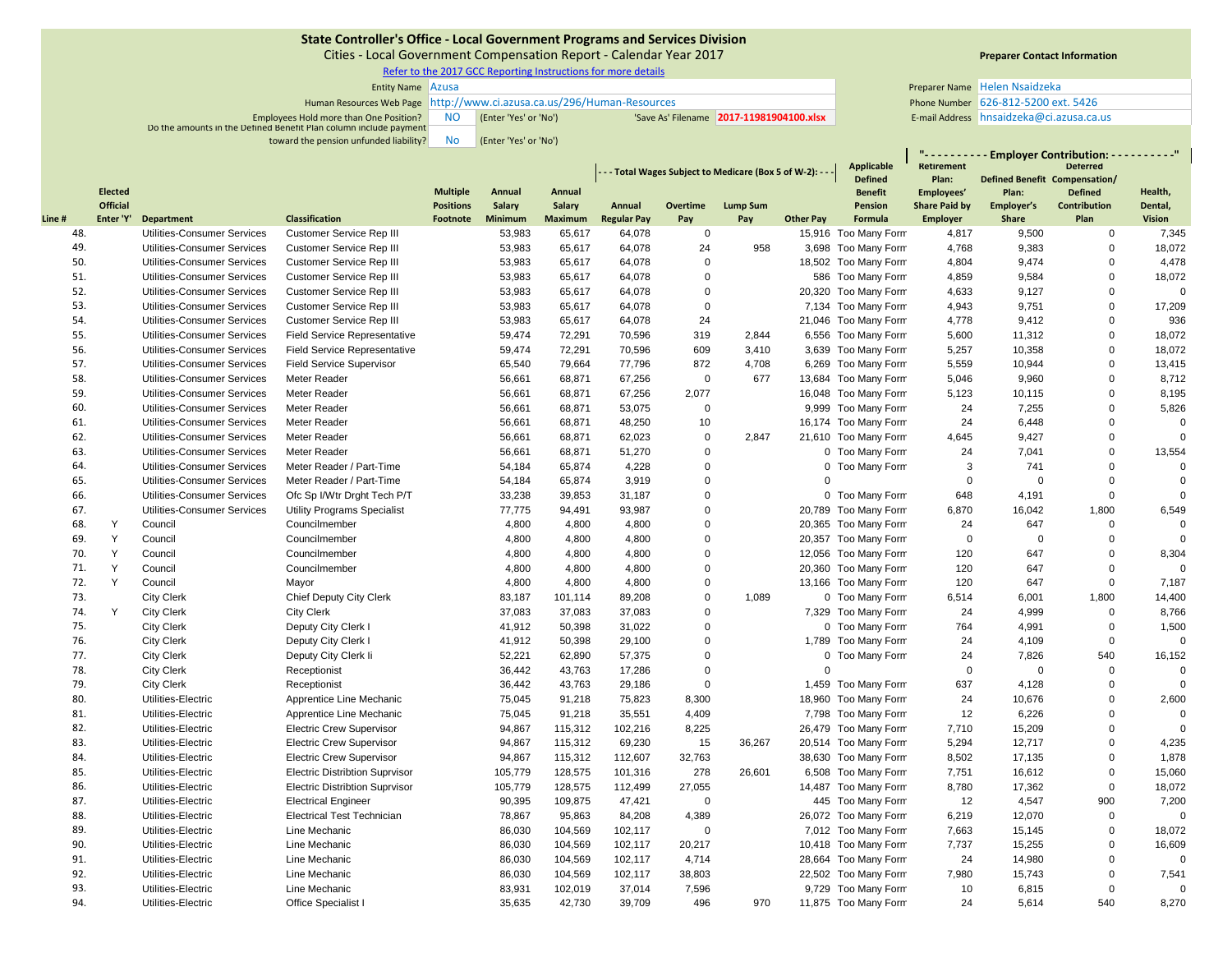Cities ‐ Local Government Compensation Report ‐ Calendar Year 2017

Refer to the 2017 GCC Reporting Instructions for more details

| <b>Entity Name Azusa</b>                                               |    |                       |                                          |                                       | Preparer Name Helen Nsaidzeka |
|------------------------------------------------------------------------|----|-----------------------|------------------------------------------|---------------------------------------|-------------------------------|
| Human Resources Web Page http://www.ci.azusa.ca.us/296/Human-Resources |    |                       |                                          | Phone Number 626-812-5200 ext. 5426   |                               |
| Employees Hold more than One Position?                                 | NC | (Enter 'Yes' or 'No') | 'Save As' Filename 2017-11981904100.xlsx | E-mail Address hnsaidzeka@ci.azusa.ca |                               |
| Do the amounts in the Defined Benefit Plan column include payment      |    |                       |                                          |                                       |                               |
| toward the pension unfunded liability?                                 | No | (Enter 'Yes' or 'No') |                                          |                                       |                               |

# **Preparer Contact Information**

|       |                 |                                    |                                       |                  |         |                                                             |                    |             | <b>Applicable</b> | <u> "Linder</u><br><b>Retirement</b> |                      | · Employer Contribution: - - - - - - - - - "<br><b>Deterred</b> |                               |                     |                |
|-------|-----------------|------------------------------------|---------------------------------------|------------------|---------|-------------------------------------------------------------|--------------------|-------------|-------------------|--------------------------------------|----------------------|-----------------------------------------------------------------|-------------------------------|---------------------|----------------|
|       |                 |                                    |                                       |                  |         | - - - Total Wages Subject to Medicare (Box 5 of W-2): - - - |                    |             |                   |                                      | <b>Defined</b>       | Plan:                                                           | Defined Benefit Compensation/ |                     |                |
|       | <b>Elected</b>  |                                    |                                       | <b>Multiple</b>  | Annual  | Annual                                                      |                    |             |                   |                                      | <b>Benefit</b>       | Employees'                                                      | Plan:                         | <b>Defined</b>      | Health,        |
|       | <b>Official</b> |                                    |                                       | <b>Positions</b> | Salary  | Salary                                                      | Annual             | Overtime    | <b>Lump Sum</b>   |                                      | <b>Pension</b>       | <b>Share Paid by</b>                                            | Employer's                    | <b>Contribution</b> | Dental,        |
| Line# | Enter 'Y'       | Department                         | <b>Classification</b>                 | Footnote         | Minimum | <b>Maximum</b>                                              | <b>Regular Pay</b> | Pay         | Pay               | <b>Other Pay</b>                     | Formula              | <b>Employer</b>                                                 | <b>Share</b>                  | Plan                | <b>Vision</b>  |
| 48.   |                 | Utilities-Consumer Services        | Customer Service Rep III              |                  | 53,983  | 65,617                                                      | 64,078             | 0           |                   |                                      | 15,916 Too Many Form | 4,817                                                           | 9,500                         | $\mathbf 0$         | 7,345          |
| 49.   |                 | Utilities-Consumer Services        | Customer Service Rep III              |                  | 53,983  | 65,617                                                      | 64,078             | 24          | 958               |                                      | 3,698 Too Many Form  | 4,768                                                           | 9,383                         | $\mathbf 0$         | 18,072         |
| 50.   |                 | Utilities-Consumer Services        | Customer Service Rep III              |                  | 53,983  | 65,617                                                      | 64,078             | $\Omega$    |                   |                                      | 18,502 Too Many Form | 4,804                                                           | 9,474                         | $\mathbf 0$         | 4,478          |
| 51.   |                 | Utilities-Consumer Services        | Customer Service Rep III              |                  | 53,983  | 65,617                                                      | 64,078             | $\mathbf 0$ |                   |                                      | 586 Too Many Form    | 4,859                                                           | 9,584                         | $\mathbf 0$         | 18,072         |
| 52.   |                 | Utilities-Consumer Services        | Customer Service Rep III              |                  | 53,983  | 65,617                                                      | 64,078             | $\Omega$    |                   |                                      | 20,320 Too Many Form | 4,633                                                           | 9,127                         | $\mathbf 0$         | $\mathbf 0$    |
| 53.   |                 | Utilities-Consumer Services        | Customer Service Rep III              |                  | 53,983  | 65,617                                                      | 64,078             | $\mathbf 0$ |                   |                                      | 7,134 Too Many Form  | 4,943                                                           | 9,751                         | $\mathbf 0$         | 17,209         |
| 54.   |                 | Utilities-Consumer Services        | Customer Service Rep III              |                  | 53,983  | 65,617                                                      | 64,078             | 24          |                   |                                      | 21,046 Too Many Form | 4,778                                                           | 9,412                         | $\mathbf 0$         | 936            |
| 55.   |                 | Utilities-Consumer Services        | <b>Field Service Representative</b>   |                  | 59,474  | 72,291                                                      | 70,596             | 319         | 2,844             |                                      | 6,556 Too Many Form  | 5,600                                                           | 11,312                        | $\mathbf 0$         | 18,072         |
| 56.   |                 | Utilities-Consumer Services        | <b>Field Service Representative</b>   |                  | 59,474  | 72,291                                                      | 70,596             | 609         | 3,410             |                                      | 3,639 Too Many Form  | 5,257                                                           | 10,358                        | 0                   | 18,072         |
| 57.   |                 | Utilities-Consumer Services        | <b>Field Service Supervisor</b>       |                  | 65,540  | 79,664                                                      | 77,796             | 872         | 4,708             |                                      | 6,269 Too Many Form  | 5,559                                                           | 10,944                        | 0                   | 13,415         |
| 58.   |                 | Utilities-Consumer Services        | Meter Reader                          |                  | 56,661  | 68,871                                                      | 67,256             | $\mathbf 0$ | 677               |                                      | 13,684 Too Many Form | 5,046                                                           | 9,960                         | $\mathbf 0$         | 8,712          |
| 59.   |                 | Utilities-Consumer Services        | Meter Reader                          |                  | 56,661  | 68,871                                                      | 67,256             | 2,077       |                   |                                      | 16,048 Too Many Form | 5,123                                                           | 10,115                        | $\mathbf 0$         | 8,195          |
| 60.   |                 | Utilities-Consumer Services        | Meter Reader                          |                  | 56,661  | 68,871                                                      | 53,075             | $\mathbf 0$ |                   |                                      | 9,999 Too Many Form  | 24                                                              | 7,255                         | $\mathbf 0$         | 5,826          |
| 61.   |                 | Utilities-Consumer Services        | Meter Reader                          |                  | 56,661  | 68,871                                                      | 48,250             | 10          |                   |                                      | 16,174 Too Many Form | 24                                                              | 6,448                         | $\mathbf 0$         | $\mathbf{0}$   |
| 62.   |                 | Utilities-Consumer Services        | Meter Reader                          |                  | 56,661  | 68,871                                                      | 62,023             | $\mathbf 0$ | 2,847             |                                      | 21,610 Too Many Form | 4,645                                                           | 9,427                         | 0                   | $\Omega$       |
| 63.   |                 | Utilities-Consumer Services        | Meter Reader                          |                  | 56,661  | 68,871                                                      | 51,270             | $\Omega$    |                   |                                      | 0 Too Many Form      | 24                                                              | 7,041                         | $\mathbf 0$         | 13,554         |
| 64.   |                 | Utilities-Consumer Services        | Meter Reader / Part-Time              |                  | 54,184  | 65,874                                                      | 4,228              | $\mathbf 0$ |                   |                                      | 0 Too Many Form      | 3                                                               | 741                           | $\mathbf 0$         | $\overline{0}$ |
| 65.   |                 | Utilities-Consumer Services        | Meter Reader / Part-Time              |                  | 54,184  | 65,874                                                      | 3,919              | $\Omega$    |                   | $\Omega$                             |                      | $\Omega$                                                        | $\Omega$                      | $\Omega$            | $\Omega$       |
| 66.   |                 | Utilities-Consumer Services        | Ofc Sp I/Wtr Drght Tech P/T           |                  | 33,238  | 39,853                                                      | 31,187             | $\Omega$    |                   |                                      | 0 Too Many Form      | 648                                                             | 4,191                         | $\Omega$            | $\Omega$       |
| 67.   |                 | <b>Utilities-Consumer Services</b> | <b>Utility Programs Specialist</b>    |                  | 77,775  | 94,491                                                      | 93,987             | $\Omega$    |                   |                                      | 20,789 Too Many Form | 6,870                                                           | 16,042                        | 1,800               | 6,549          |
| 68.   | Y               | Council                            | Councilmember                         |                  | 4,800   | 4,800                                                       | 4,800              | $\Omega$    |                   |                                      | 20,365 Too Many Form | 24                                                              | 647                           | $\mathbf 0$         | $\overline{0}$ |
| 69.   | Y               | Council                            | Councilmember                         |                  | 4,800   | 4,800                                                       | 4,800              | $\Omega$    |                   |                                      | 20,357 Too Many Form | $\mathbf 0$                                                     | $\mathbf 0$                   | $\mathbf 0$         | $\Omega$       |
| 70.   | Y               | Council                            | Councilmember                         |                  | 4,800   | 4,800                                                       | 4,800              | $\Omega$    |                   |                                      | 12,056 Too Many Form | 120                                                             | 647                           | $\mathbf 0$         | 8,304          |
| 71.   | Y               | Council                            | Councilmember                         |                  | 4,800   | 4,800                                                       | 4,800              | $\Omega$    |                   |                                      | 20,360 Too Many Form | 120                                                             | 647                           | $\mathbf 0$         | $\Omega$       |
| 72.   | Y               | Council                            | Mayor                                 |                  | 4,800   | 4,800                                                       | 4,800              | $\Omega$    |                   |                                      | 13,166 Too Many Form | 120                                                             | 647                           | $\mathbf 0$         | 7,187          |
| 73.   |                 | <b>City Clerk</b>                  | Chief Deputy City Clerk               |                  | 83,187  | 101,114                                                     | 89,208             | $\mathbf 0$ | 1,089             |                                      | 0 Too Many Form      | 6,514                                                           | 6,001                         | 1,800               | 14,400         |
| 74.   | Y               | <b>City Clerk</b>                  | <b>City Clerk</b>                     |                  | 37,083  | 37,083                                                      | 37,083             | $\Omega$    |                   |                                      | 7,329 Too Many Form  | 24                                                              | 4,999                         | $\mathbf 0$         | 8,766          |
| 75.   |                 | <b>City Clerk</b>                  | Deputy City Clerk I                   |                  | 41,912  | 50,398                                                      | 31,022             | $\Omega$    |                   |                                      | 0 Too Many Form      | 764                                                             | 4,991                         | $\mathbf 0$         | 1,500          |
| 76.   |                 | <b>City Clerk</b>                  | Deputy City Clerk I                   |                  | 41,912  | 50,398                                                      | 29,100             | $\mathbf 0$ |                   |                                      | 1,789 Too Many Form  | 24                                                              | 4,109                         | $\mathbf 0$         | $\overline{0}$ |
| 77.   |                 | <b>City Clerk</b>                  | Deputy City Clerk li                  |                  | 52,221  | 62,890                                                      | 57,375             | $\Omega$    |                   |                                      | 0 Too Many Form      | 24                                                              | 7,826                         | 540                 | 16,152         |
| 78.   |                 | <b>City Clerk</b>                  | Receptionist                          |                  | 36,442  | 43,763                                                      | 17,286             | $\Omega$    |                   | $\Omega$                             |                      | $\Omega$                                                        | $\mathbf 0$                   | $\pmb{0}$           | $\Omega$       |
| 79.   |                 | <b>City Clerk</b>                  | Receptionist                          |                  | 36,442  | 43,763                                                      | 29,186             | $\Omega$    |                   |                                      | 1,459 Too Many Form  | 637                                                             | 4,128                         | $\mathbf 0$         | $\overline{0}$ |
| 80.   |                 | Utilities-Electric                 | Apprentice Line Mechanic              |                  | 75,045  | 91,218                                                      | 75,823             | 8,300       |                   |                                      | 18,960 Too Many Form | 24                                                              | 10,676                        | $\mathbf 0$         | 2,600          |
| 81.   |                 | Utilities-Electric                 | Apprentice Line Mechanic              |                  | 75,045  | 91,218                                                      | 35,551             | 4,409       |                   |                                      | 7,798 Too Many Form  | 12                                                              | 6,226                         | $\Omega$            | $\overline{0}$ |
| 82.   |                 | Utilities-Electric                 | <b>Electric Crew Supervisor</b>       |                  | 94,867  | 115,312                                                     | 102,216            | 8,225       |                   |                                      | 26,479 Too Many Form | 7,710                                                           | 15,209                        | $\mathbf 0$         | $\Omega$       |
| 83.   |                 | Utilities-Electric                 | <b>Electric Crew Supervisor</b>       |                  | 94,867  | 115,312                                                     | 69,230             | 15          | 36,267            |                                      | 20,514 Too Many Form | 5,294                                                           | 12,717                        | $\mathbf 0$         | 4,235          |
| 84.   |                 | Utilities-Electric                 | <b>Electric Crew Supervisor</b>       |                  | 94,867  | 115,312                                                     | 112,607            | 32,763      |                   |                                      | 38,630 Too Many Form | 8,502                                                           | 17,135                        | $\mathbf 0$         | 1,878          |
| 85.   |                 | Utilities-Electric                 | <b>Electric Distribtion Suprvisor</b> |                  | 105,779 | 128,575                                                     | 101,316            | 278         | 26,601            |                                      | 6,508 Too Many Form  | 7,751                                                           | 16,612                        | $\mathbf 0$         | 15,060         |
| 86.   |                 | Utilities-Electric                 | <b>Electric Distribtion Suprvisor</b> |                  | 105,779 | 128,575                                                     | 112,499            | 27,055      |                   |                                      | 14,487 Too Many Form | 8,780                                                           | 17,362                        | $\mathbf 0$         | 18,072         |
| 87.   |                 | Utilities-Electric                 | <b>Electrical Engineer</b>            |                  | 90,395  | 109,875                                                     | 47,421             | $\mathbf 0$ |                   |                                      | 445 Too Many Form    | 12                                                              | 4,547                         | 900                 | 7,200          |
| 88.   |                 | Utilities-Electric                 | <b>Electrical Test Technician</b>     |                  | 78,867  | 95,863                                                      | 84,208             | 4,389       |                   |                                      | 26,072 Too Many Form | 6,219                                                           | 12,070                        | $\mathbf 0$         | $\mathbf 0$    |
| 89.   |                 | Utilities-Electric                 | Line Mechanic                         |                  | 86,030  | 104,569                                                     | 102,117            | $\mathbf 0$ |                   |                                      | 7,012 Too Many Form  | 7,663                                                           | 15,145                        | 0                   | 18,072         |
| 90.   |                 | Utilities-Electric                 | Line Mechanic                         |                  | 86,030  | 104,569                                                     | 102,117            | 20,217      |                   |                                      | 10,418 Too Many Form | 7,737                                                           | 15,255                        | 0                   | 16,609         |
| 91.   |                 | Utilities-Electric                 | Line Mechanic                         |                  | 86,030  | 104,569                                                     | 102,117            | 4,714       |                   |                                      | 28,664 Too Many Form | 24                                                              | 14,980                        | $\Omega$            | $\Omega$       |
| 92.   |                 | Utilities-Electric                 | Line Mechanic                         |                  | 86,030  | 104,569                                                     | 102,117            | 38,803      |                   |                                      | 22,502 Too Many Form | 7,980                                                           | 15,743                        | $\Omega$            | 7,541          |
| 93.   |                 | Utilities-Electric                 | Line Mechanic                         |                  | 83,931  | 102,019                                                     | 37,014             | 7,596       |                   |                                      | 9,729 Too Many Form  | 10                                                              | 6,815                         | $\Omega$            | $\overline{0}$ |
| 94.   |                 | Utilities-Electric                 | <b>Office Specialist I</b>            |                  | 35,635  | 42,730                                                      | 39,709             | 496         | 970               |                                      | 11,875 Too Many Form | 24                                                              | 5,614                         | 540                 | 8,270          |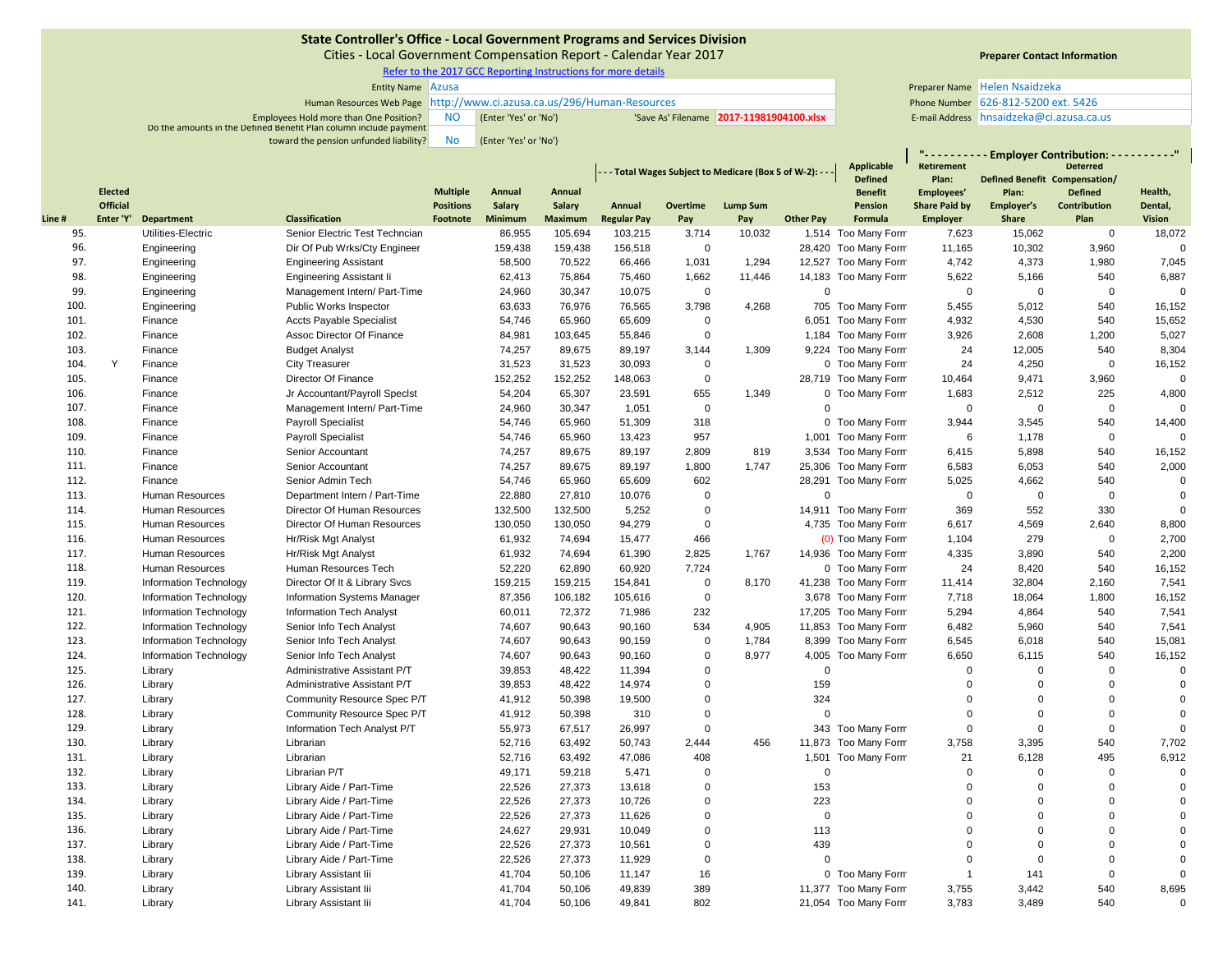Cities ‐ Local Government Compensation Report ‐ Calendar Year 2017

Refer to the 2017 GCC Reporting Instructions for more details

| <b>Entity Name Azusa</b>                                               |           |                       |                                         |                                       | Preparer Name Helen Nsaidzeka |
|------------------------------------------------------------------------|-----------|-----------------------|-----------------------------------------|---------------------------------------|-------------------------------|
| Human Resources Web Page http://www.ci.azusa.ca.us/296/Human-Resources |           |                       |                                         | Phone Number 626-812-5200 ext. 5426   |                               |
| Employees Hold more than One Position?                                 | <b>NO</b> | (Enter 'Yes' or 'No') | Save As' Filename 2017-11981904100.xlsx | E-mail Address hnsaidzeka@ci.azusa.ca |                               |
| Do the amounts in the Defined Benefit Plan column include payment      |           |                       |                                         |                                       |                               |
| toward the pension unfunded liability?                                 | No        | (Enter 'Yes' or 'No') |                                         |                                       |                               |

# **Preparer Contact Information**

|       |                 |                        |                                    |                                                        |                |                | <b>Applicable</b>  | <u> ".</u><br><b>Retirement</b> |                 | · Employer Contribution: - - - - - - - - - "<br><b>Deterred</b> |                      |                      |                               |                     |                |
|-------|-----------------|------------------------|------------------------------------|--------------------------------------------------------|----------------|----------------|--------------------|---------------------------------|-----------------|-----------------------------------------------------------------|----------------------|----------------------|-------------------------------|---------------------|----------------|
|       |                 |                        |                                    | -- Total Wages Subject to Medicare (Box 5 of W-2): --- |                |                |                    |                                 |                 |                                                                 | <b>Defined</b>       | Plan:                | Defined Benefit Compensation/ |                     |                |
|       | <b>Elected</b>  |                        |                                    | <b>Multiple</b>                                        | Annual         | Annual         |                    |                                 |                 |                                                                 | <b>Benefit</b>       | Employees'           | Plan:                         | <b>Defined</b>      | Health,        |
|       | <b>Official</b> |                        |                                    | <b>Positions</b>                                       | Salary         | Salary         | Annual             | Overtime                        | <b>Lump Sum</b> |                                                                 | Pension              | <b>Share Paid by</b> | Employer's                    | <b>Contribution</b> | Dental,        |
| Line# | Enter 'Y'       | <b>Department</b>      | <b>Classification</b>              | Footnote                                               | <b>Minimum</b> | <b>Maximum</b> | <b>Regular Pay</b> | Pay                             | Pay             | <b>Other Pay</b>                                                | Formula              | <b>Employer</b>      | <b>Share</b>                  | Plan                | <b>Vision</b>  |
| 95.   |                 | Utilities-Electric     | Senior Electric Test Techncian     |                                                        | 86,955         | 105,694        | 103,215            | 3,714                           | 10,032          |                                                                 | 1,514 Too Many Form  | 7,623                | 15,062                        | $\mathbf 0$         | 18,072         |
| 96.   |                 | Engineering            | Dir Of Pub Wrks/Cty Engineer       |                                                        | 159,438        | 159,438        | 156,518            | $\mathbf 0$                     |                 |                                                                 | 28,420 Too Many Form | 11,165               | 10,302                        | 3,960               | $\Omega$       |
| 97.   |                 | Engineering            | <b>Engineering Assistant</b>       |                                                        | 58,500         | 70,522         | 66,466             | 1,031                           | 1,294           |                                                                 | 12,527 Too Many Form | 4,742                | 4,373                         | 1,980               | 7,045          |
| 98.   |                 | Engineering            | <b>Engineering Assistant li</b>    |                                                        | 62,413         | 75,864         | 75,460             | 1,662                           | 11,446          |                                                                 | 14,183 Too Many Form | 5,622                | 5,166                         | 540                 | 6,887          |
| 99.   |                 | Engineering            | Management Intern/ Part-Time       |                                                        | 24,960         | 30,347         | 10,075             | $\mathbf 0$                     |                 | $\Omega$                                                        |                      | $\Omega$             | $\mathbf 0$                   | $\mathbf 0$         | $\mathbf 0$    |
| 100.  |                 | Engineering            | Public Works Inspector             |                                                        | 63,633         | 76,976         | 76,565             | 3,798                           | 4,268           |                                                                 | 705 Too Many Form    | 5,455                | 5,012                         | 540                 | 16,152         |
| 101.  |                 | Finance                | <b>Accts Payable Specialist</b>    |                                                        | 54,746         | 65,960         | 65,609             | $\mathbf 0$                     |                 |                                                                 | 6,051 Too Many Form  | 4,932                | 4,530                         | 540                 | 15,652         |
| 102.  |                 | Finance                | Assoc Director Of Finance          |                                                        | 84,981         | 103,645        | 55,846             | $\Omega$                        |                 |                                                                 | 1,184 Too Many Form  | 3,926                | 2,608                         | 1,200               | 5,027          |
| 103.  |                 | Finance                | <b>Budget Analyst</b>              |                                                        | 74,257         | 89,675         | 89,197             | 3,144                           | 1,309           |                                                                 | 9,224 Too Many Form  | 24                   | 12,005                        | 540                 | 8,304          |
| 104.  | Y               | Finance                | <b>City Treasurer</b>              |                                                        | 31,523         | 31,523         | 30,093             | $\mathbf 0$                     |                 |                                                                 | 0 Too Many Form      | 24                   | 4,250                         | $\mathbf 0$         | 16,152         |
| 105.  |                 | Finance                | Director Of Finance                |                                                        | 152,252        | 152,252        | 148,063            | $\mathbf 0$                     |                 |                                                                 | 28,719 Too Many Form | 10,464               | 9,471                         | 3,960               | $\Omega$       |
| 106.  |                 | Finance                | Jr Accountant/Payroll Specist      |                                                        | 54,204         | 65,307         | 23,591             | 655                             | 1,349           |                                                                 | 0 Too Many Form      | 1,683                | 2,512                         | 225                 | 4,800          |
| 107.  |                 | Finance                | Management Intern/ Part-Time       |                                                        | 24,960         | 30,347         | 1,051              | $\mathbf 0$                     |                 | $\Omega$                                                        |                      | $\mathbf 0$          | $\mathbf 0$                   | $\mathbf 0$         | $\Omega$       |
| 108.  |                 | Finance                | <b>Payroll Specialist</b>          |                                                        | 54,746         | 65,960         | 51,309             | 318                             |                 |                                                                 | 0 Too Many Form      | 3,944                | 3,545                         | 540                 | 14,400         |
| 109.  |                 | Finance                | <b>Payroll Specialist</b>          |                                                        | 54,746         | 65,960         | 13,423             | 957                             |                 |                                                                 | 1,001 Too Many Form  | 6                    | 1,178                         | $\pmb{0}$           | $\Omega$       |
| 110.  |                 | Finance                | Senior Accountant                  |                                                        | 74,257         | 89,675         | 89,197             | 2,809                           | 819             |                                                                 | 3,534 Too Many Form  | 6,415                | 5,898                         | 540                 | 16,152         |
| 111.  |                 | Finance                | Senior Accountant                  |                                                        | 74,257         | 89,675         | 89,197             | 1,800                           | 1,747           |                                                                 | 25,306 Too Many Form | 6,583                | 6,053                         | 540                 | 2,000          |
| 112.  |                 | Finance                | Senior Admin Tech                  |                                                        | 54,746         | 65,960         | 65,609             | 602                             |                 |                                                                 | 28,291 Too Many Form | 5,025                | 4,662                         | 540                 | $\mathbf 0$    |
| 113.  |                 | Human Resources        | Department Intern / Part-Time      |                                                        | 22,880         | 27,810         | 10,076             | $\Omega$                        |                 | $\Omega$                                                        |                      | $\Omega$             | $\mathbf 0$                   | $\mathbf 0$         | $\mathbf 0$    |
| 114.  |                 | Human Resources        | Director Of Human Resources        |                                                        | 132,500        | 132,500        | 5,252              | $\Omega$                        |                 |                                                                 | 14,911 Too Many Form | 369                  | 552                           | 330                 | $\overline{0}$ |
| 115.  |                 | Human Resources        | Director Of Human Resources        |                                                        | 130,050        | 130,050        | 94,279             | $\mathbf 0$                     |                 |                                                                 | 4,735 Too Many Form  | 6,617                | 4,569                         | 2,640               | 8,800          |
| 116.  |                 | Human Resources        | Hr/Risk Mgt Analyst                |                                                        | 61,932         | 74,694         | 15,477             | 466                             |                 |                                                                 | (0) Too Many Form    | 1,104                | 279                           | $\mathbf 0$         | 2,700          |
| 117.  |                 | Human Resources        | Hr/Risk Mgt Analyst                |                                                        | 61,932         | 74,694         | 61,390             | 2,825                           | 1,767           |                                                                 | 14,936 Too Many Form | 4,335                | 3,890                         | 540                 | 2,200          |
| 118.  |                 | Human Resources        | Human Resources Tech               |                                                        | 52,220         | 62,890         | 60,920             | 7,724                           |                 |                                                                 | 0 Too Many Form      | 24                   | 8,420                         | 540                 | 16,152         |
| 119.  |                 | Information Technology | Director Of It & Library Svcs      |                                                        | 159,215        | 159,215        | 154,841            | $\mathbf 0$                     | 8.170           |                                                                 | 41,238 Too Many Form | 11,414               | 32,804                        | 2,160               | 7,541          |
| 120.  |                 | Information Technology | <b>Information Systems Manager</b> |                                                        | 87,356         | 106,182        | 105,616            | $\Omega$                        |                 |                                                                 | 3,678 Too Many Form  | 7,718                | 18,064                        | 1,800               | 16,152         |
| 121.  |                 | Information Technology | <b>Information Tech Analyst</b>    |                                                        | 60,011         | 72,372         | 71,986             | 232                             |                 |                                                                 | 17,205 Too Many Form | 5,294                | 4,864                         | 540                 | 7,541          |
| 122.  |                 | Information Technology | Senior Info Tech Analyst           |                                                        | 74,607         | 90,643         | 90,160             | 534                             | 4,905           |                                                                 | 11,853 Too Many Form | 6,482                | 5,960                         | 540                 | 7,541          |
| 123.  |                 | Information Technology | Senior Info Tech Analyst           |                                                        | 74,607         | 90,643         | 90,159             | $\Omega$                        | 1,784           |                                                                 | 8,399 Too Many Form  | 6,545                | 6,018                         | 540                 | 15,081         |
| 124.  |                 | Information Technology | Senior Info Tech Analyst           |                                                        | 74,607         | 90,643         | 90,160             | $\Omega$                        | 8,977           |                                                                 | 4,005 Too Many Form  | 6,650                | 6,115                         | 540                 | 16,152         |
| 125.  |                 | Library                | Administrative Assistant P/T       |                                                        | 39,853         | 48,422         | 11,394             | $\mathbf 0$                     |                 | $\Omega$                                                        |                      | $\Omega$             | $\mathbf 0$                   | $\mathbf 0$         | $\Omega$       |
| 126.  |                 | Library                | Administrative Assistant P/T       |                                                        | 39,853         | 48,422         | 14,974             | $\Omega$                        |                 | 159                                                             |                      | $\Omega$             | $\mathbf 0$                   | $\mathbf 0$         | $\mathbf 0$    |
| 127.  |                 | Library                | Community Resource Spec P/T        |                                                        | 41,912         | 50,398         | 19,500             | $\mathbf 0$                     |                 | 324                                                             |                      | $\Omega$             | $\Omega$                      | $\mathbf 0$         | $\mathbf 0$    |
| 128.  |                 | Library                | Community Resource Spec P/T        |                                                        | 41,912         | 50,398         | 310                | $\Omega$                        |                 | $\Omega$                                                        |                      | $\Omega$             | $\mathbf 0$                   | $\mathbf 0$         | $\mathbf 0$    |
| 129.  |                 | Library                | Information Tech Analyst P/T       |                                                        | 55,973         | 67,517         | 26,997             | $\Omega$                        |                 |                                                                 | 343 Too Many Form    | $\Omega$             | $\mathbf 0$                   | $\mathbf 0$         | $\Omega$       |
| 130.  |                 | Library                | Librarian                          |                                                        | 52,716         | 63,492         | 50,743             | 2,444                           | 456             |                                                                 | 11,873 Too Many Form | 3,758                | 3,395                         | 540                 | 7,702          |
| 131.  |                 | Library                | Librarian                          |                                                        | 52,716         | 63,492         | 47,086             | 408                             |                 |                                                                 | 1,501 Too Many Form  | 21                   | 6,128                         | 495                 | 6,912          |
| 132.  |                 | Library                | Librarian P/T                      |                                                        | 49,171         | 59,218         | 5,471              | $\Omega$                        |                 | $\Omega$                                                        |                      | $\Omega$             | $\Omega$                      | $\mathbf 0$         | $\Omega$       |
| 133.  |                 | Library                | Library Aide / Part-Time           |                                                        | 22,526         | 27,373         | 13,618             | $\Omega$                        |                 | 153                                                             |                      | $\Omega$             | $\mathbf 0$                   | $\mathbf 0$         | $\mathbf 0$    |
| 134.  |                 | Library                | Library Aide / Part-Time           |                                                        | 22,526         | 27,373         | 10,726             | $\Omega$                        |                 | 223                                                             |                      | $\Omega$             | $\Omega$                      | $\mathbf 0$         | $\mathbf 0$    |
| 135.  |                 | Library                | Library Aide / Part-Time           |                                                        | 22,526         | 27,373         | 11,626             | $\Omega$                        |                 | $\Omega$                                                        |                      | $\Omega$             | $\Omega$                      | $\Omega$            | $\mathbf 0$    |
| 136.  |                 | Library                | Library Aide / Part-Time           |                                                        | 24,627         | 29,931         | 10,049             | $\Omega$                        |                 | 113                                                             |                      | $\Omega$             | $\Omega$                      | $\mathbf 0$         | $\mathbf 0$    |
| 137.  |                 | Library                | Library Aide / Part-Time           |                                                        | 22,526         | 27,373         | 10,561             | $\Omega$                        |                 | 439                                                             |                      | $\Omega$             | $\Omega$                      | $\mathbf 0$         | $\mathbf 0$    |
| 138.  |                 | Library                | Library Aide / Part-Time           |                                                        | 22,526         | 27,373         | 11,929             | $\Omega$                        |                 | $\Omega$                                                        |                      | $\Omega$             | $\Omega$                      | $\Omega$            | $\mathbf 0$    |
| 139.  |                 | Library                | Library Assistant lii              |                                                        | 41,704         | 50,106         | 11,147             | 16                              |                 |                                                                 | 0 Too Many Form      | -1                   | 141                           | $\mathbf 0$         | $\Omega$       |
| 140.  |                 | Library                | Library Assistant lii              |                                                        | 41,704         | 50,106         | 49.839             | 389                             |                 |                                                                 | 11,377 Too Many Form | 3,755                | 3,442                         | 540                 | 8,695          |
| 141.  |                 | Library                | Library Assistant lii              |                                                        | 41.704         | 50.106         | 49,841             | 802                             |                 |                                                                 | 21,054 Too Many Form | 3.783                | 3.489                         | 540                 | $\mathbf 0$    |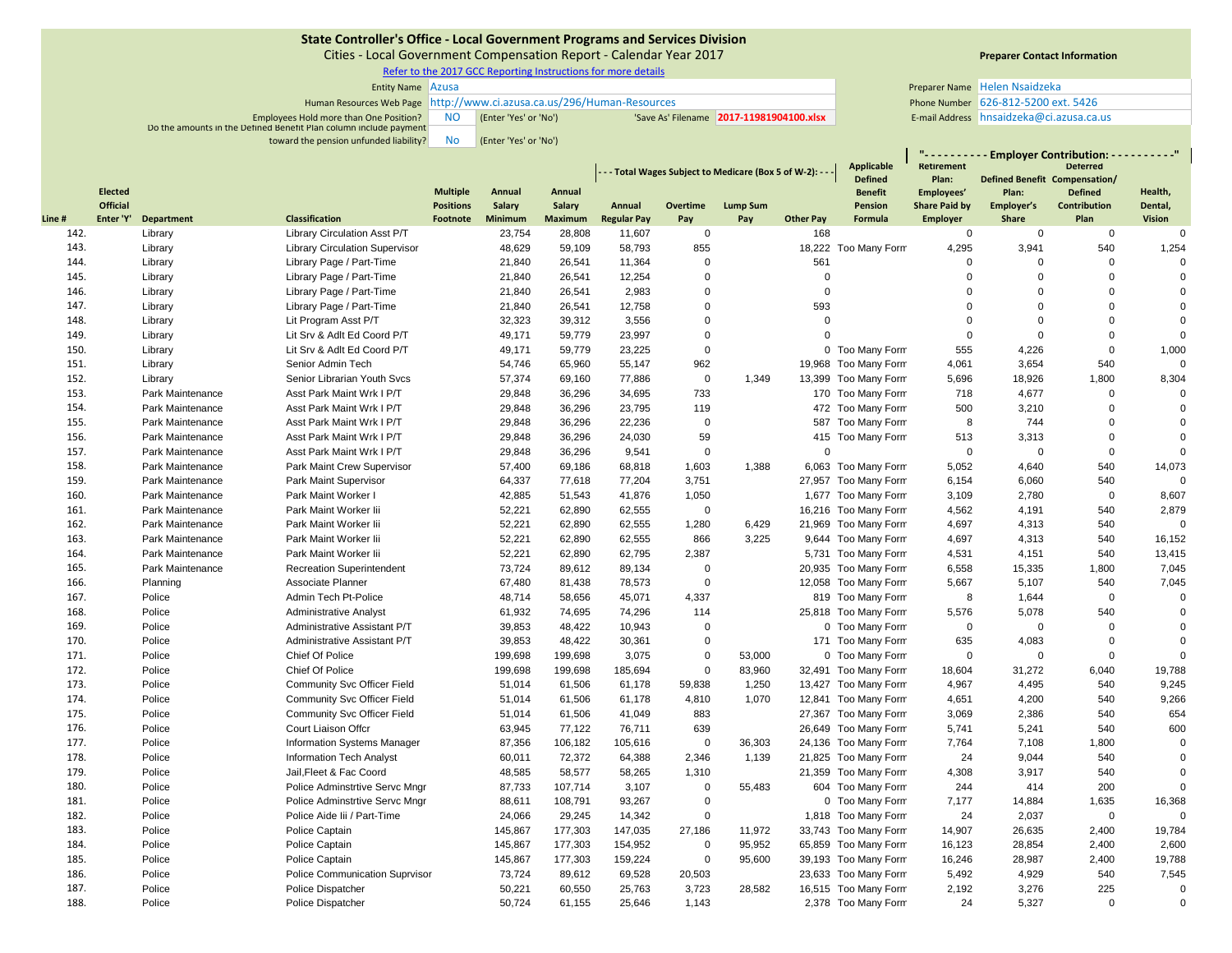Cities ‐ Local Government Compensation Report ‐ Calendar Year 2017

Refer to the 2017 GCC Reporting Instructions for more details

| <b>Entity Name Azusa</b>                                               |     |                       |                                         |                                       | Preparer Name Helen Nsaidzeka |
|------------------------------------------------------------------------|-----|-----------------------|-----------------------------------------|---------------------------------------|-------------------------------|
| Human Resources Web Page http://www.ci.azusa.ca.us/296/Human-Resources |     |                       |                                         | Phone Number 626-812-5200 ext. 5426   |                               |
| <b>Employees Hold more than One Position?</b>                          | NO. | (Enter 'Yes' or 'No') | Save As' Filename 2017-11981904100.xlsx | E-mail Address hnsaidzeka@ci.azusa.ca |                               |
| Do the amounts in the Defined Benefit Plan column include payment      |     |                       |                                         |                                       |                               |
| toward the pension unfunded liability?                                 | No  | (Enter 'Yes' or 'No') |                                         |                                       |                               |

# **Preparer Contact Information**

**" ‐ ‐ ‐ ‐ ‐ ‐ ‐ ‐ ‐ ‐ Employer Contribution: ‐ ‐ ‐ ‐ ‐ ‐ ‐ ‐ ‐ ‐"**

|       |                 |                   |                                       |                  |         |                |                    |             | - - Total Wages Subject to Medicare (Box 5 of W-2): - - |                  | Applicable                       | Retirement           |                                        | <b>Deterred</b> |                |
|-------|-----------------|-------------------|---------------------------------------|------------------|---------|----------------|--------------------|-------------|---------------------------------------------------------|------------------|----------------------------------|----------------------|----------------------------------------|-----------------|----------------|
|       | <b>Elected</b>  |                   |                                       | <b>Multiple</b>  | Annual  | Annual         |                    |             |                                                         |                  | <b>Defined</b><br><b>Benefit</b> | Plan:<br>Employees'  | Defined Benefit Compensation/<br>Plan: | <b>Defined</b>  | Health,        |
|       | <b>Official</b> |                   |                                       | <b>Positions</b> | Salary  | <b>Salary</b>  | Annual             | Overtime    | <b>Lump Sum</b>                                         |                  | Pension                          | <b>Share Paid by</b> | Employer's                             | Contribution    | Dental,        |
| Line# | Enter 'Y'       | <b>Department</b> | <b>Classification</b>                 | Footnote         | Minimum | <b>Maximum</b> | <b>Regular Pay</b> | Pay         | Pay                                                     | <b>Other Pay</b> | Formula                          | <b>Employer</b>      | Share                                  | Plan            | <b>Vision</b>  |
| 142.  |                 | Library           | Library Circulation Asst P/T          |                  | 23,754  | 28,808         | 11,607             | 0           |                                                         | 168              |                                  | $\mathbf 0$          | $\mathbf 0$                            | $\mathbf 0$     | $\mathbf 0$    |
| 143.  |                 | Library           | <b>Library Circulation Supervisor</b> |                  | 48,629  | 59,109         | 58,793             | 855         |                                                         |                  | 18,222 Too Many Form             | 4,295                | 3,941                                  | 540             | 1,254          |
| 144.  |                 | Library           | Library Page / Part-Time              |                  | 21,840  | 26,541         | 11,364             | $\Omega$    |                                                         | 561              |                                  | $\Omega$             | $\Omega$                               | $\Omega$        | $\mathbf 0$    |
| 145.  |                 | Library           | Library Page / Part-Time              |                  | 21,840  | 26,541         | 12,254             | $\Omega$    |                                                         | $\Omega$         |                                  | $\Omega$             | $\Omega$                               | $\Omega$        | $\mathbf 0$    |
| 146.  |                 | Library           | Library Page / Part-Time              |                  | 21,840  | 26.541         | 2.983              | $\Omega$    |                                                         | $\Omega$         |                                  | $\Omega$             | $\Omega$                               | $\Omega$        | $\mathbf 0$    |
| 147.  |                 | Library           | Library Page / Part-Time              |                  | 21,840  | 26,541         | 12,758             | $\Omega$    |                                                         | 593              |                                  | $\Omega$             | $\Omega$                               | $\mathbf 0$     | $\mathbf 0$    |
| 148.  |                 | Library           | Lit Program Asst P/T                  |                  | 32,323  | 39,312         | 3,556              | $\Omega$    |                                                         | $\Omega$         |                                  | $\mathbf 0$          | $\Omega$                               | $\mathbf 0$     | $\mathbf 0$    |
| 149.  |                 | Library           | Lit Srv & Adlt Ed Coord P/T           |                  | 49,171  | 59,779         | 23,997             | $\Omega$    |                                                         | $\Omega$         |                                  | $\Omega$             | $\Omega$                               | $\mathbf 0$     | $\mathbf 0$    |
| 150.  |                 | Library           | Lit Srv & Adlt Ed Coord P/T           |                  | 49,171  | 59,779         | 23,225             | $\Omega$    |                                                         |                  | 0 Too Many Form                  | 555                  | 4,226                                  | $\mathbf 0$     | 1,000          |
| 151.  |                 | Library           | Senior Admin Tech                     |                  | 54,746  | 65,960         | 55,147             | 962         |                                                         |                  | 19,968 Too Many Form             | 4,061                | 3,654                                  | 540             | $\mathbf{0}$   |
| 152.  |                 | Library           | Senior Librarian Youth Sycs           |                  | 57,374  | 69,160         | 77,886             | $\mathbf 0$ | 1.349                                                   |                  | 13,399 Too Many Form             | 5,696                | 18,926                                 | 1,800           | 8,304          |
| 153.  |                 | Park Maintenance  | Asst Park Maint Wrk I P/T             |                  | 29,848  | 36,296         | 34,695             | 733         |                                                         |                  | 170 Too Many Form                | 718                  | 4,677                                  | $\mathbf 0$     | $\overline{0}$ |
| 154.  |                 | Park Maintenance  | Asst Park Maint Wrk I P/T             |                  | 29,848  | 36,296         | 23,795             | 119         |                                                         |                  | 472 Too Many Form                | 500                  | 3,210                                  | $\mathbf 0$     | $\mathbf 0$    |
| 155.  |                 | Park Maintenance  | Asst Park Maint Wrk I P/T             |                  | 29,848  | 36,296         | 22,236             | $\Omega$    |                                                         |                  | 587 Too Many Form                | 8                    | 744                                    | $\mathbf 0$     | $\overline{0}$ |
| 156.  |                 | Park Maintenance  | Asst Park Maint Wrk I P/T             |                  | 29,848  | 36,296         | 24,030             | 59          |                                                         |                  | 415 Too Many Form                | 513                  | 3,313                                  | $\mathbf 0$     | $\Omega$       |
| 157.  |                 | Park Maintenance  | Asst Park Maint Wrk I P/T             |                  | 29,848  | 36,296         | 9,541              | $\mathbf 0$ |                                                         | $\Omega$         |                                  | $\Omega$             | $\mathbf 0$                            | $\mathbf 0$     | $\mathbf 0$    |
| 158.  |                 | Park Maintenance  | Park Maint Crew Supervisor            |                  | 57,400  | 69,186         | 68,818             | 1,603       | 1,388                                                   |                  | 6,063 Too Many Form              | 5,052                | 4,640                                  | 540             | 14,073         |
| 159.  |                 | Park Maintenance  | Park Maint Supervisor                 |                  | 64,337  | 77,618         | 77,204             | 3,751       |                                                         |                  | 27,957 Too Many Form             | 6,154                | 6,060                                  | 540             | $\Omega$       |
| 160.  |                 | Park Maintenance  | Park Maint Worker I                   |                  | 42,885  | 51,543         | 41,876             | 1,050       |                                                         |                  | 1,677 Too Many Form              | 3,109                | 2,780                                  | $\mathbf 0$     | 8,607          |
| 161.  |                 | Park Maintenance  | Park Maint Worker lii                 |                  | 52,221  | 62,890         | 62,555             | $\mathbf 0$ |                                                         |                  | 16,216 Too Many Form             | 4,562                | 4,191                                  | 540             | 2,879          |
| 162.  |                 | Park Maintenance  | Park Maint Worker lii                 |                  | 52,221  | 62,890         | 62,555             | 1,280       | 6,429                                                   |                  | 21,969 Too Many Form             | 4,697                | 4,313                                  | 540             | $\mathbf 0$    |
| 163.  |                 | Park Maintenance  | Park Maint Worker lii                 |                  | 52,221  | 62,890         | 62,555             | 866         | 3,225                                                   |                  | 9,644 Too Many Form              | 4,697                | 4,313                                  | 540             | 16,152         |
| 164.  |                 | Park Maintenance  | Park Maint Worker lii                 |                  | 52,221  | 62,890         | 62,795             | 2,387       |                                                         |                  | 5,731 Too Many Form              | 4,531                | 4,151                                  | 540             | 13,415         |
| 165.  |                 | Park Maintenance  | <b>Recreation Superintendent</b>      |                  | 73,724  | 89,612         | 89,134             | $\Omega$    |                                                         |                  | 20,935 Too Many Form             | 6,558                | 15,335                                 | 1,800           | 7,045          |
| 166.  |                 | Planning          | Associate Planner                     |                  | 67,480  | 81,438         | 78,573             | $\Omega$    |                                                         |                  | 12,058 Too Many Form             | 5,667                | 5,107                                  | 540             | 7,045          |
| 167.  |                 | Police            | Admin Tech Pt-Police                  |                  | 48,714  | 58,656         | 45,071             | 4,337       |                                                         |                  | 819 Too Many Form                | 8                    | 1,644                                  | $\mathbf 0$     | $\Omega$       |
| 168.  |                 | Police            | <b>Administrative Analyst</b>         |                  | 61,932  | 74,695         | 74,296             | 114         |                                                         |                  | 25,818 Too Many Form             | 5,576                | 5,078                                  | 540             | $\mathbf 0$    |
| 169.  |                 | Police            | Administrative Assistant P/T          |                  | 39,853  | 48,422         | 10,943             | $\Omega$    |                                                         |                  | 0 Too Many Form                  | $\mathbf 0$          | $\mathsf 0$                            | $\mathbf 0$     | $\overline{0}$ |
| 170.  |                 | Police            | Administrative Assistant P/T          |                  | 39,853  | 48,422         | 30,361             | $\mathbf 0$ |                                                         |                  | 171 Too Many Form                | 635                  | 4,083                                  | $\mathbf 0$     | $\mathbf 0$    |
| 171.  |                 | Police            | Chief Of Police                       |                  | 199,698 | 199,698        | 3,075              | $\mathbf 0$ | 53,000                                                  |                  | 0 Too Many Form                  | $\mathbf 0$          | $\mathbf 0$                            | $\mathbf 0$     | $\overline{0}$ |
| 172.  |                 | Police            | Chief Of Police                       |                  | 199,698 | 199,698        | 185,694            | $\mathbf 0$ | 83,960                                                  |                  | 32,491 Too Many Form             | 18,604               | 31,272                                 | 6,040           | 19,788         |
| 173.  |                 | Police            | Community Svc Officer Field           |                  | 51,014  | 61,506         | 61,178             | 59,838      | 1,250                                                   |                  | 13,427 Too Many Form             | 4,967                | 4,495                                  | 540             | 9,245          |
| 174.  |                 | Police            | Community Svc Officer Field           |                  | 51,014  | 61,506         | 61,178             | 4,810       | 1,070                                                   |                  | 12,841 Too Many Form             | 4,651                | 4,200                                  | 540             | 9,266          |
| 175.  |                 | Police            | Community Svc Officer Field           |                  | 51,014  | 61,506         | 41,049             | 883         |                                                         |                  | 27,367 Too Many Form             | 3,069                | 2,386                                  | 540             | 654            |
| 176.  |                 | Police            | Court Liaison Offcr                   |                  | 63,945  | 77,122         | 76,711             | 639         |                                                         |                  | 26,649 Too Many Form             | 5,741                | 5,241                                  | 540             | 600            |
| 177.  |                 | Police            | <b>Information Systems Manager</b>    |                  | 87,356  | 106,182        | 105,616            | $\mathbf 0$ | 36,303                                                  |                  | 24,136 Too Many Form             | 7,764                | 7,108                                  | 1,800           | $\overline{0}$ |
| 178.  |                 | Police            | <b>Information Tech Analyst</b>       |                  | 60,011  | 72,372         | 64,388             | 2,346       | 1,139                                                   |                  | 21,825 Too Many Form             | 24                   | 9,044                                  | 540             | $\mathbf 0$    |
| 179.  |                 | Police            | Jail, Fleet & Fac Coord               |                  | 48,585  | 58,577         | 58,265             | 1,310       |                                                         |                  | 21,359 Too Many Form             | 4,308                | 3,917                                  | 540             | $\Omega$       |
| 180.  |                 | Police            | Police Adminstrtive Servc Mngr        |                  | 87,733  | 107,714        | 3,107              | $\mathbf 0$ | 55,483                                                  |                  | 604 Too Many Form                | 244                  | 414                                    | 200             | $\Omega$       |
| 181.  |                 | Police            | Police Adminstrtive Servc Mngr        |                  | 88,611  | 108,791        | 93,267             | $\Omega$    |                                                         |                  | 0 Too Many Form                  | 7,177                | 14,884                                 | 1,635           | 16,368         |
| 182.  |                 | Police            | Police Aide lii / Part-Time           |                  | 24,066  | 29,245         | 14,342             | $\mathbf 0$ |                                                         |                  | 1,818 Too Many Form              | 24                   | 2,037                                  | $\mathbf 0$     | $\Omega$       |
| 183.  |                 | Police            | Police Captain                        |                  | 145,867 | 177,303        | 147,035            | 27,186      | 11,972                                                  |                  | 33,743 Too Many Form             | 14,907               | 26,635                                 | 2,400           | 19,784         |
| 184.  |                 | Police            | Police Captain                        |                  | 145,867 | 177,303        | 154,952            | 0           | 95,952                                                  |                  | 65,859 Too Many Form             | 16,123               | 28,854                                 | 2,400           | 2,600          |
| 185.  |                 | Police            | Police Captain                        |                  | 145,867 | 177,303        | 159,224            | $\mathbf 0$ | 95,600                                                  |                  | 39,193 Too Many Form             | 16,246               | 28,987                                 | 2,400           | 19,788         |
| 186.  |                 | Police            | Police Communication Suprvisor        |                  | 73,724  | 89,612         | 69,528             | 20,503      |                                                         |                  | 23,633 Too Many Form             | 5,492                | 4,929                                  | 540             | 7,545          |
| 187.  |                 | Police            | Police Dispatcher                     |                  | 50,221  | 60,550         | 25,763             | 3,723       | 28.582                                                  |                  | 16,515 Too Many Form             | 2,192                | 3,276                                  | 225             | $\mathbf 0$    |
| 188.  |                 | Police            | Police Dispatcher                     |                  | 50,724  | 61,155         | 25,646             | 1,143       |                                                         |                  | 2,378 Too Many Form              | 24                   | 5,327                                  | $\mathbf 0$     | $\overline{0}$ |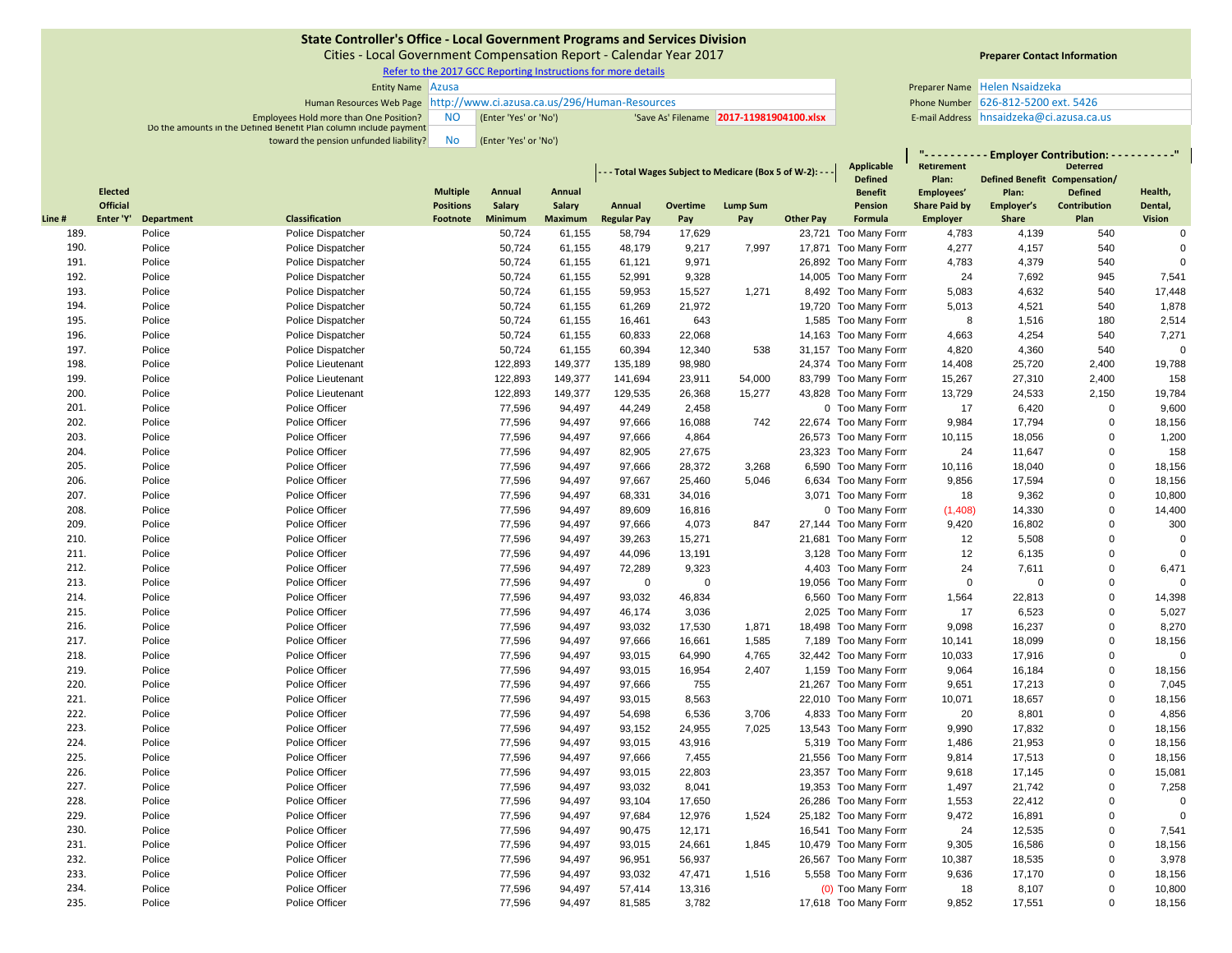Cities ‐ Local Government Compensation Report ‐ Calendar Year 2017

Refer to the 2017 GCC Reporting Instructions for more details

| <b>Entity Name Azusa</b>                                               |           |                       |                                          | Preparer Name Helen Nsaidzeka         |  |
|------------------------------------------------------------------------|-----------|-----------------------|------------------------------------------|---------------------------------------|--|
| Human Resources Web Page http://www.ci.azusa.ca.us/296/Human-Resources |           |                       |                                          | Phone Number 626-812-5200 ext. 5426   |  |
| Employees Hold more than One Position?                                 | <b>NO</b> | (Enter 'Yes' or 'No') | 'Save As' Filename 2017-11981904100.xlsx | E-mail Address hnsaidzeka@ci.azusa.ca |  |
| Do the amounts in the Defined Benefit Plan column include payment      |           |                       |                                          |                                       |  |
| toward the pension unfunded liability?                                 | <b>No</b> | (Enter 'Yes' or 'No') |                                          |                                       |  |

# **Preparer Contact Information**

|        |                |            |                       |                  |         |                |                    |             |                                                             | <b>Applicable</b> | $\mathbf{u}$ and $\mathbf{u}$<br><b>Retirement</b> |                      | Employer Contribution: - - - - - - - - - "<br><b>Deterred</b> |                     |                |
|--------|----------------|------------|-----------------------|------------------|---------|----------------|--------------------|-------------|-------------------------------------------------------------|-------------------|----------------------------------------------------|----------------------|---------------------------------------------------------------|---------------------|----------------|
|        |                |            |                       |                  |         |                |                    |             | - - - Total Wages Subject to Medicare (Box 5 of W-2): - - - |                   | <b>Defined</b>                                     | Plan:                | <b>Defined Benefit Compensation/</b>                          |                     |                |
|        | <b>Elected</b> |            |                       | <b>Multiple</b>  | Annual  | Annual         |                    |             |                                                             |                   | <b>Benefit</b>                                     | Employees'           | Plan:                                                         | <b>Defined</b>      | Health,        |
|        | Official       |            |                       | <b>Positions</b> | Salary  | <b>Salary</b>  | Annual             | Overtime    | <b>Lump Sum</b>                                             |                   | Pension                                            | <b>Share Paid by</b> | Employer's                                                    | <b>Contribution</b> | Dental,        |
| Line # | Enter 'Y'      | Department | <b>Classification</b> | Footnote         | Minimum | <b>Maximum</b> | <b>Regular Pay</b> | Pay         | Pay                                                         | <b>Other Pay</b>  | Formula                                            | <b>Employer</b>      | <b>Share</b>                                                  | Plan                | <b>Vision</b>  |
| 189.   |                | Police     | Police Dispatcher     |                  | 50,724  | 61,155         | 58,794             | 17,629      |                                                             |                   | 23,721 Too Many Form                               | 4,783                | 4,139                                                         | 540                 | $\Omega$       |
| 190.   |                | Police     | Police Dispatcher     |                  | 50,724  | 61,155         | 48,179             | 9,217       | 7,997                                                       |                   | 17,871 Too Many Form                               | 4,277                | 4,157                                                         | 540                 | $\Omega$       |
| 191.   |                | Police     | Police Dispatcher     |                  | 50,724  | 61,155         | 61,121             | 9,971       |                                                             |                   | 26,892 Too Many Form                               | 4,783                | 4,379                                                         | 540                 | $\Omega$       |
| 192.   |                | Police     | Police Dispatcher     |                  | 50,724  | 61,155         | 52,991             | 9,328       |                                                             |                   | 14,005 Too Many Form                               | 24                   | 7,692                                                         | 945                 | 7,541          |
| 193.   |                | Police     | Police Dispatcher     |                  | 50,724  | 61,155         | 59,953             | 15,527      | 1,271                                                       |                   | 8,492 Too Many Form                                | 5,083                | 4,632                                                         | 540                 | 17,448         |
| 194.   |                | Police     | Police Dispatcher     |                  | 50,724  | 61,155         | 61,269             | 21,972      |                                                             |                   | 19,720 Too Many Form                               | 5,013                | 4,521                                                         | 540                 | 1,878          |
| 195.   |                | Police     | Police Dispatcher     |                  | 50,724  | 61,155         | 16,461             | 643         |                                                             |                   | 1,585 Too Many Form                                | 8                    | 1,516                                                         | 180                 | 2,514          |
| 196.   |                | Police     | Police Dispatcher     |                  | 50,724  | 61,155         | 60,833             | 22,068      |                                                             |                   | 14,163 Too Many Form                               | 4,663                | 4,254                                                         | 540                 | 7,271          |
| 197.   |                | Police     | Police Dispatcher     |                  | 50,724  | 61,155         | 60,394             | 12,340      | 538                                                         |                   | 31,157 Too Many Form                               | 4,820                | 4,360                                                         | 540                 | $\Omega$       |
| 198.   |                | Police     | Police Lieutenant     |                  | 122,893 | 149,377        | 135,189            | 98,980      |                                                             |                   | 24,374 Too Many Form                               | 14,408               | 25,720                                                        | 2,400               | 19,788         |
| 199.   |                | Police     | Police Lieutenant     |                  | 122,893 | 149,377        | 141,694            | 23,911      | 54,000                                                      |                   | 83,799 Too Many Form                               | 15,267               | 27,310                                                        | 2,400               | 158            |
| 200.   |                | Police     | Police Lieutenant     |                  | 122,893 | 149,377        | 129,535            | 26,368      | 15,277                                                      |                   | 43,828 Too Many Form                               | 13,729               | 24,533                                                        | 2,150               | 19,784         |
| 201.   |                | Police     | Police Officer        |                  | 77,596  | 94,497         | 44,249             | 2,458       |                                                             |                   | 0 Too Many Form                                    | 17                   | 6,420                                                         | $\mathbf 0$         | 9,600          |
| 202.   |                | Police     | Police Officer        |                  | 77,596  | 94,497         | 97,666             | 16,088      | 742                                                         |                   | 22,674 Too Many Form                               | 9,984                | 17,794                                                        | $\Omega$            | 18,156         |
| 203.   |                | Police     | Police Officer        |                  | 77,596  | 94,497         | 97,666             | 4,864       |                                                             |                   | 26,573 Too Many Form                               | 10,115               | 18,056                                                        | $\Omega$            | 1,200          |
| 204.   |                | Police     | Police Officer        |                  | 77,596  | 94,497         | 82,905             | 27,675      |                                                             |                   | 23,323 Too Many Form                               | 24                   | 11,647                                                        | $\Omega$            | 158            |
| 205.   |                | Police     | Police Officer        |                  | 77,596  | 94,497         | 97,666             | 28,372      | 3,268                                                       |                   | 6,590 Too Many Form                                | 10,116               | 18,040                                                        | $\Omega$            | 18,156         |
| 206.   |                | Police     | Police Officer        |                  | 77,596  | 94,497         | 97,667             | 25,460      | 5,046                                                       |                   | 6,634 Too Many Form                                | 9,856                | 17,594                                                        | $\Omega$            | 18,156         |
| 207.   |                | Police     | Police Officer        |                  | 77,596  | 94,497         | 68,331             | 34,016      |                                                             |                   | 3,071 Too Many Form                                | 18                   | 9,362                                                         | $\Omega$            | 10,800         |
| 208.   |                | Police     | Police Officer        |                  | 77,596  | 94,497         | 89,609             | 16,816      |                                                             |                   | 0 Too Many Form                                    | (1,408)              | 14,330                                                        | $\mathbf 0$         | 14,400         |
| 209.   |                | Police     | Police Officer        |                  | 77,596  | 94,497         | 97,666             | 4,073       | 847                                                         |                   | 27,144 Too Many Form                               | 9,420                | 16,802                                                        | $\Omega$            | 300            |
| 210.   |                | Police     | Police Officer        |                  | 77,596  | 94,497         | 39,263             | 15,271      |                                                             |                   | 21,681 Too Many Form                               | 12                   | 5,508                                                         | $\Omega$            | $\mathbf 0$    |
| 211.   |                | Police     | Police Officer        |                  | 77,596  | 94,497         | 44,096             | 13,191      |                                                             |                   | 3,128 Too Many Form                                | 12                   | 6,135                                                         | $\mathbf 0$         | $\overline{0}$ |
| 212.   |                | Police     | Police Officer        |                  | 77,596  | 94,497         | 72,289             | 9,323       |                                                             |                   | 4,403 Too Many Form                                | 24                   | 7,611                                                         | $\mathbf 0$         | 6,471          |
| 213.   |                | Police     | Police Officer        |                  | 77,596  | 94,497         | $\mathbf 0$        | $\mathbf 0$ |                                                             |                   | 19,056 Too Many Form                               | $\mathbf 0$          | $\mathbf 0$                                                   | $\mathbf 0$         | $\overline{0}$ |
| 214.   |                | Police     | Police Officer        |                  | 77,596  | 94,497         | 93,032             | 46,834      |                                                             |                   | 6,560 Too Many Form                                | 1,564                | 22,813                                                        | $\mathbf 0$         | 14,398         |
| 215.   |                | Police     | Police Officer        |                  | 77,596  | 94,497         | 46,174             | 3,036       |                                                             |                   | 2,025 Too Many Form                                | 17                   | 6,523                                                         | $\mathbf 0$         | 5,027          |
| 216.   |                | Police     | Police Officer        |                  | 77,596  | 94,497         | 93,032             | 17,530      | 1,871                                                       |                   | 18,498 Too Many Form                               | 9,098                | 16,237                                                        | $\mathbf 0$         | 8,270          |
| 217.   |                | Police     | Police Officer        |                  | 77,596  | 94,497         | 97,666             | 16,661      | 1,585                                                       |                   | 7,189 Too Many Form                                | 10,141               | 18,099                                                        | $\mathbf 0$         | 18,156         |
| 218.   |                | Police     | Police Officer        |                  | 77,596  | 94,497         | 93,015             | 64,990      | 4,765                                                       |                   | 32,442 Too Many Form                               | 10,033               | 17,916                                                        | $\mathbf 0$         | $\overline{0}$ |
| 219.   |                | Police     | Police Officer        |                  | 77,596  | 94,497         | 93,015             | 16,954      | 2,407                                                       |                   | 1,159 Too Many Form                                | 9,064                | 16,184                                                        | $\mathbf 0$         | 18,156         |
| 220.   |                | Police     | Police Officer        |                  | 77,596  | 94,497         | 97,666             | 755         |                                                             |                   | 21,267 Too Many Form                               | 9,651                | 17,213                                                        | $\mathbf 0$         | 7,045          |
| 221.   |                | Police     | Police Officer        |                  | 77,596  | 94,497         | 93,015             | 8,563       |                                                             |                   | 22,010 Too Many Form                               | 10,071               | 18,657                                                        | $\mathbf 0$         | 18,156         |
| 222.   |                | Police     | Police Officer        |                  | 77,596  | 94,497         | 54,698             | 6,536       | 3,706                                                       |                   | 4,833 Too Many Form                                | 20                   | 8,801                                                         | $\mathbf 0$         | 4,856          |
| 223.   |                | Police     | Police Officer        |                  | 77,596  | 94,497         | 93,152             | 24,955      | 7,025                                                       |                   | 13,543 Too Many Form                               | 9,990                | 17,832                                                        | $\mathbf 0$         | 18,156         |
| 224.   |                | Police     | Police Officer        |                  | 77,596  | 94,497         | 93,015             | 43,916      |                                                             |                   | 5,319 Too Many Form                                | 1,486                | 21,953                                                        | $\pmb{0}$           | 18,156         |
| 225.   |                | Police     | Police Officer        |                  | 77,596  | 94,497         | 97,666             | 7,455       |                                                             |                   | 21,556 Too Many Form                               | 9,814                | 17,513                                                        | $\mathbf 0$         | 18,156         |
| 226.   |                | Police     | Police Officer        |                  | 77,596  | 94,497         | 93,015             | 22,803      |                                                             |                   | 23,357 Too Many Form                               | 9,618                | 17,145                                                        | $\mathbf 0$         | 15,081         |
| 227.   |                | Police     | Police Officer        |                  | 77,596  | 94,497         | 93,032             | 8,041       |                                                             |                   | 19,353 Too Many Form                               | 1,497                | 21,742                                                        | $\mathbf 0$         | 7,258          |
| 228.   |                | Police     | Police Officer        |                  | 77,596  | 94,497         | 93,104             | 17,650      |                                                             |                   | 26,286 Too Many Form                               | 1,553                | 22,412                                                        | $\Omega$            | $\overline{0}$ |
| 229.   |                | Police     | Police Officer        |                  | 77,596  | 94,497         | 97,684             | 12,976      | 1,524                                                       |                   | 25,182 Too Many Form                               | 9,472                | 16,891                                                        | $\mathbf 0$         | $\overline{0}$ |
| 230.   |                | Police     | Police Officer        |                  | 77,596  | 94,497         | 90,475             | 12,171      |                                                             |                   | 16,541 Too Many Form                               | 24                   | 12,535                                                        | $\mathbf 0$         | 7,541          |
| 231.   |                | Police     | Police Officer        |                  | 77,596  | 94,497         | 93,015             | 24,661      | 1,845                                                       |                   | 10,479 Too Many Form                               | 9,305                | 16,586                                                        | $\pmb{0}$           | 18,156         |
| 232.   |                | Police     | Police Officer        |                  | 77,596  | 94,497         | 96,951             | 56,937      |                                                             |                   | 26,567 Too Many Form                               | 10,387               | 18,535                                                        | $\mathbf 0$         | 3,978          |
| 233.   |                | Police     | Police Officer        |                  | 77,596  | 94,497         | 93,032             | 47,471      | 1,516                                                       |                   | 5,558 Too Many Form                                | 9,636                | 17,170                                                        | $\mathbf 0$         | 18,156         |
| 234.   |                | Police     | Police Officer        |                  | 77,596  | 94,497         | 57,414             | 13,316      |                                                             |                   | (0) Too Many Form                                  | 18                   | 8,107                                                         | $\mathbf 0$         | 10,800         |
| 235.   |                | Police     | Police Officer        |                  | 77,596  | 94,497         | 81,585             | 3,782       |                                                             |                   | 17,618 Too Many Form                               | 9,852                | 17,551                                                        | $\Omega$            | 18,156         |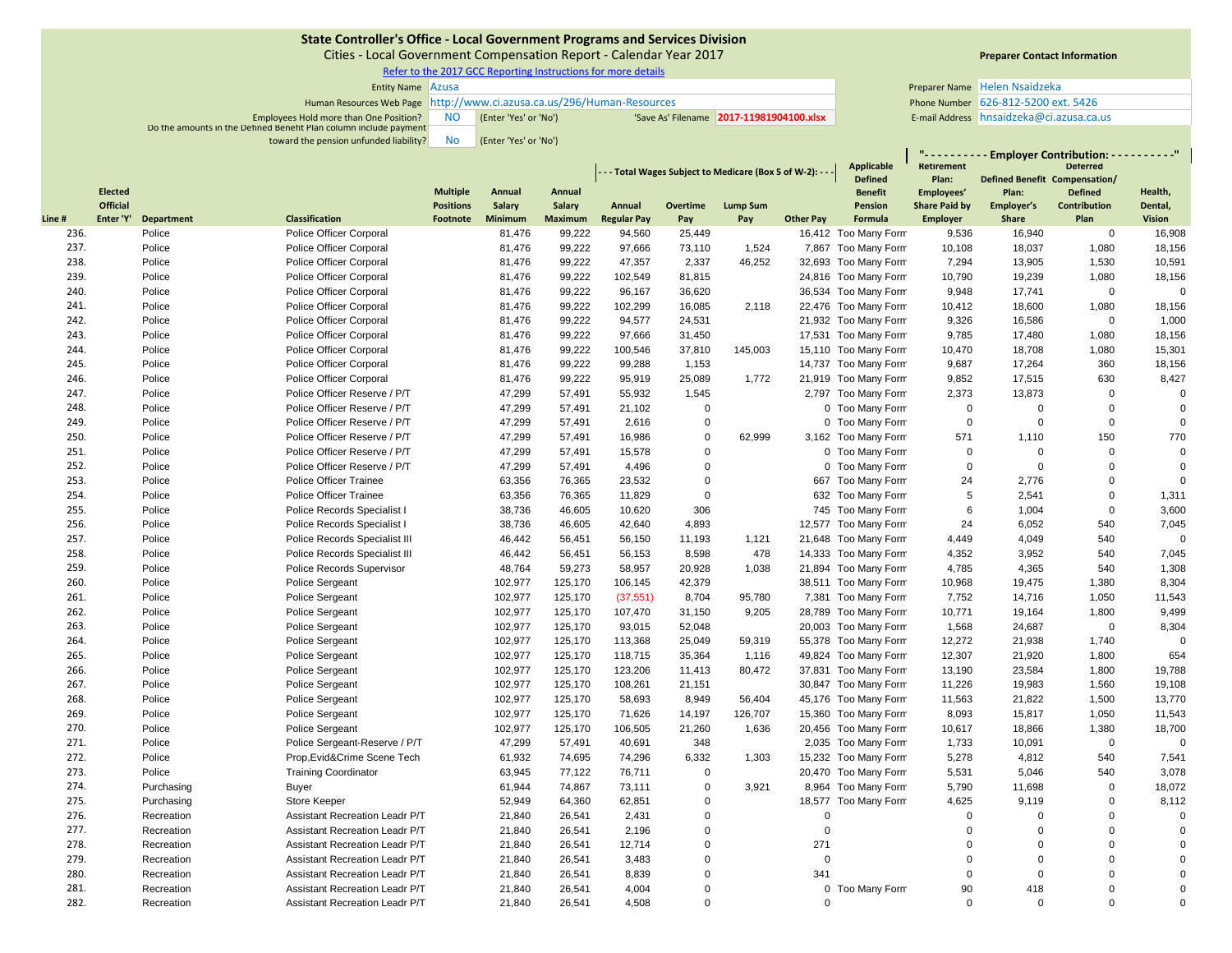Cities ‐ Local Government Compensation Report ‐ Calendar Year 2017

Refer to the 2017 GCC Reporting Instructions for more details

| <b>Entity Name</b> Azusa                                               |           |                       |                                         | Preparer Name Helen Nsaidzeka         |  |
|------------------------------------------------------------------------|-----------|-----------------------|-----------------------------------------|---------------------------------------|--|
| Human Resources Web Page http://www.ci.azusa.ca.us/296/Human-Resources |           |                       |                                         | Phone Number 626-812-5200 ext. 5426   |  |
| Employees Hold more than One Position?                                 | <b>NO</b> | (Enter 'Yes' or 'No') | Save As' Filename 2017-11981904100.xlsx | E-mail Address hnsaidzeka@ci.azusa.ca |  |
| Do the amounts in the Defined Benefit Plan column include payment      |           |                       |                                         |                                       |  |
| toward the pension unfunded liability?                                 | <b>No</b> | (Enter 'Yes' or 'No') |                                         |                                       |  |

# **Preparer Contact Information**

**" ‐ ‐ ‐ ‐ ‐ ‐ ‐ ‐ ‐ ‐ Employer Contribution: ‐ ‐ ‐ ‐ ‐ ‐ ‐ ‐ ‐ ‐"**

|              |                 |                   |                                                    |                  |                  |                  |                    |                  | - - - Total Wages Subject to Medicare (Box 5 of W-2): - |                  | <b>Applicable</b><br><b>Defined</b>         | Retirement<br>Plan:  | Defined Benefit Compensation/ | <b>Deterred</b>     |                  |
|--------------|-----------------|-------------------|----------------------------------------------------|------------------|------------------|------------------|--------------------|------------------|---------------------------------------------------------|------------------|---------------------------------------------|----------------------|-------------------------------|---------------------|------------------|
|              | <b>Elected</b>  |                   |                                                    | <b>Multiple</b>  | Annual           | Annual           |                    |                  |                                                         |                  | <b>Benefit</b>                              | Employees'           | Plan:                         | <b>Defined</b>      | Health,          |
|              | <b>Official</b> |                   |                                                    | <b>Positions</b> | Salary           | Salary           | Annual             | Overtime         | <b>Lump Sum</b>                                         |                  | Pension                                     | <b>Share Paid by</b> | Employer's                    | Contribution        | Dental,          |
| Line#        | Enter 'Y'       | <b>Department</b> | <b>Classification</b>                              | Footnote         | <b>Minimum</b>   | <b>Maximum</b>   | <b>Regular Pay</b> | Pay              | Pay                                                     | <b>Other Pay</b> | Formula                                     | Employer             | <b>Share</b>                  | Plan<br>$\mathbf 0$ | <b>Vision</b>    |
| 236.<br>237. |                 | Police<br>Police  | Police Officer Corporal<br>Police Officer Corporal |                  | 81,476<br>81,476 | 99,222<br>99,222 | 94,560<br>97,666   | 25,449<br>73,110 | 1,524                                                   |                  | 16,412 Too Many Form<br>7,867 Too Many Form | 9,536<br>10,108      | 16,940<br>18,037              | 1,080               | 16,908<br>18,156 |
| 238.         |                 | Police            | Police Officer Corporal                            |                  | 81,476           | 99,222           | 47,357             | 2,337            | 46,252                                                  |                  | 32,693 Too Many Form                        | 7,294                | 13,905                        | 1,530               | 10,591           |
| 239.         |                 | Police            | Police Officer Corporal                            |                  | 81,476           | 99,222           | 102,549            | 81,815           |                                                         |                  | 24,816 Too Many Form                        | 10,790               | 19,239                        | 1,080               | 18,156           |
| 240.         |                 | Police            | Police Officer Corporal                            |                  | 81,476           | 99,222           | 96,167             | 36,620           |                                                         |                  | 36,534 Too Many Form                        | 9,948                | 17,741                        | $\mathbf 0$         | $\mathbf 0$      |
| 241.         |                 | Police            | Police Officer Corporal                            |                  | 81,476           | 99,222           | 102,299            | 16,085           | 2,118                                                   |                  | 22,476 Too Many Form                        | 10,412               | 18,600                        | 1,080               | 18,156           |
| 242.         |                 | Police            | Police Officer Corporal                            |                  | 81,476           | 99,222           | 94,577             | 24,531           |                                                         |                  | 21,932 Too Many Form                        | 9,326                | 16,586                        | $\mathbf 0$         | 1,000            |
| 243.         |                 | Police            | Police Officer Corporal                            |                  | 81,476           | 99,222           | 97,666             | 31,450           |                                                         |                  | 17,531 Too Many Form                        | 9,785                | 17,480                        | 1,080               | 18,156           |
| 244.         |                 | Police            | Police Officer Corporal                            |                  | 81,476           | 99,222           | 100,546            | 37,810           | 145,003                                                 |                  | 15,110 Too Many Form                        | 10,470               | 18,708                        | 1,080               | 15,301           |
| 245.         |                 | Police            | Police Officer Corporal                            |                  | 81,476           | 99,222           | 99,288             | 1,153            |                                                         |                  | 14,737 Too Many Form                        | 9,687                | 17,264                        | 360                 | 18,156           |
| 246.         |                 | Police            | Police Officer Corporal                            |                  | 81,476           | 99,222           | 95,919             | 25,089           | 1,772                                                   |                  | 21,919 Too Many Form                        | 9,852                | 17,515                        | 630                 | 8,427            |
| 247.         |                 | Police            | Police Officer Reserve / P/T                       |                  | 47,299           | 57,491           | 55,932             | 1,545            |                                                         |                  | 2,797 Too Many Form                         | 2,373                | 13,873                        | $\mathbf 0$         | $\mathbf 0$      |
| 248.         |                 | Police            | Police Officer Reserve / P/T                       |                  | 47,299           | 57,491           | 21,102             | $\mathbf 0$      |                                                         |                  | 0 Too Many Form                             | $\mathbf 0$          | $\mathbf 0$                   | $\mathbf 0$         | $\mathbf 0$      |
| 249.         |                 | Police            | Police Officer Reserve / P/T                       |                  | 47,299           | 57,491           | 2,616              | $\mathbf 0$      |                                                         |                  | 0 Too Many Form                             | $\mathbf 0$          | $\mathbf 0$                   | $\Omega$            | $\mathbf 0$      |
| 250.         |                 | Police            | Police Officer Reserve / P/T                       |                  | 47,299           | 57,491           | 16,986             | $\mathbf 0$      | 62,999                                                  |                  | 3,162 Too Many Form                         | 571                  | 1,110                         | 150                 | 770              |
| 251.         |                 | Police            | Police Officer Reserve / P/T                       |                  | 47,299           | 57,491           | 15,578             | $\mathbf 0$      |                                                         |                  | 0 Too Many Form                             | $\mathbf 0$          | $\mathbf 0$                   | $\mathbf 0$         | $\mathbf 0$      |
| 252.         |                 | Police            | Police Officer Reserve / P/T                       |                  | 47,299           | 57,491           | 4,496              | $\mathbf 0$      |                                                         |                  | 0 Too Many Form                             | $\mathbf 0$          | $\overline{0}$                | $\Omega$            | $\mathbf 0$      |
| 253.         |                 | Police            | <b>Police Officer Trainee</b>                      |                  | 63,356           | 76,365           | 23,532             | $\mathbf 0$      |                                                         |                  | 667 Too Many Form                           | 24                   | 2,776                         | $\mathbf 0$         | $\mathbf 0$      |
| 254.         |                 | Police            | Police Officer Trainee                             |                  | 63,356           | 76,365           | 11,829             | $\Omega$         |                                                         |                  | 632 Too Many Form                           | 5                    | 2,541                         | $\mathbf 0$         | 1,311            |
| 255.         |                 | Police            | Police Records Specialist I                        |                  | 38,736           | 46,605           | 10,620             | 306              |                                                         |                  | 745 Too Many Form                           | 6                    | 1,004                         | $\mathbf 0$         | 3,600            |
| 256.         |                 | Police            | Police Records Specialist I                        |                  | 38,736           | 46,605           | 42,640             | 4,893            |                                                         |                  | 12,577 Too Many Form                        | 24                   | 6,052                         | 540                 | 7,045            |
| 257.         |                 | Police            | Police Records Specialist III                      |                  | 46,442           | 56,451           | 56,150             | 11,193           | 1,121                                                   |                  | 21,648 Too Many Form                        | 4,449                | 4,049                         | 540                 | $\mathbf 0$      |
| 258.         |                 | Police            | Police Records Specialist III                      |                  | 46,442           | 56,451           | 56,153             | 8,598            | 478                                                     |                  | 14,333 Too Many Form                        | 4,352                | 3,952                         | 540                 | 7,045            |
| 259.         |                 | Police            | Police Records Supervisor                          |                  | 48,764           | 59.273           | 58,957             | 20,928           | 1,038                                                   |                  | 21,894 Too Many Form                        | 4,785                | 4,365                         | 540                 | 1,308            |
| 260.         |                 | Police            | Police Sergeant                                    |                  | 102,977          | 125,170          | 106,145            | 42,379           |                                                         |                  | 38,511 Too Many Form                        | 10,968               | 19,475                        | 1,380               | 8,304            |
| 261.         |                 | Police            | <b>Police Sergeant</b>                             |                  | 102,977          | 125,170          | (37, 551)          | 8,704            | 95,780                                                  |                  | 7,381 Too Many Form                         | 7,752                | 14,716                        | 1,050               | 11,543           |
| 262.         |                 | Police            | Police Sergeant                                    |                  | 102,977          | 125,170          | 107,470            | 31,150           | 9,205                                                   |                  | 28,789 Too Many Form                        | 10,771               | 19,164                        | 1,800               | 9,499            |
| 263.         |                 | Police            | Police Sergeant                                    |                  | 102,977          | 125,170          | 93,015             | 52,048           |                                                         |                  | 20,003 Too Many Form                        | 1,568                | 24,687                        | $\mathbf 0$         | 8,304            |
| 264.         |                 | Police            | Police Sergeant                                    |                  | 102,977          | 125,170          | 113,368            | 25,049           | 59,319                                                  |                  | 55,378 Too Many Form                        | 12,272               | 21,938                        | 1,740               | $\mathbf 0$      |
| 265.         |                 | Police            | Police Sergeant                                    |                  | 102,977          | 125,170          | 118,715            | 35,364           | 1,116                                                   |                  | 49,824 Too Many Form                        | 12,307               | 21,920                        | 1,800               | 654              |
| 266.         |                 | Police            | Police Sergeant                                    |                  | 102,977          | 125,170          | 123,206            | 11,413           | 80,472                                                  |                  | 37,831 Too Many Form                        | 13,190               | 23,584                        | 1,800               | 19,788           |
| 267.         |                 | Police            | <b>Police Sergeant</b>                             |                  | 102,977          | 125,170          | 108,261            | 21,151           |                                                         |                  | 30,847 Too Many Form                        | 11,226               | 19,983                        | 1,560               | 19,108           |
| 268.         |                 | Police            | Police Sergeant                                    |                  | 102,977          | 125,170          | 58,693             | 8,949            | 56,404                                                  |                  | 45,176 Too Many Form                        | 11,563               | 21,822                        | 1,500               | 13,770           |
| 269.         |                 | Police            | Police Sergeant                                    |                  | 102,977          | 125,170          | 71,626             | 14,197           | 126,707                                                 |                  | 15,360 Too Many Form                        | 8,093                | 15,817                        | 1,050               | 11,543           |
| 270.         |                 | Police            | <b>Police Sergeant</b>                             |                  | 102,977          | 125,170          | 106,505            | 21,260           | 1,636                                                   |                  | 20,456 Too Many Form                        | 10,617               | 18,866                        | 1,380               | 18,700           |
| 271.         |                 | Police            | Police Sergeant-Reserve / P/T                      |                  | 47,299           | 57,491           | 40,691             | 348              |                                                         |                  | 2,035 Too Many Form                         | 1,733                | 10,091                        | $\mathbf 0$         | $\mathbf 0$      |
| 272.         |                 | Police            | Prop, Evid& Crime Scene Tech                       |                  | 61,932           | 74,695           | 74,296             | 6,332            | 1,303                                                   |                  | 15,232 Too Many Form                        | 5,278                | 4,812                         | 540                 | 7,541            |
| 273.         |                 | Police            | <b>Training Coordinator</b>                        |                  | 63,945           | 77,122           | 76,711             | $\mathbf 0$      |                                                         |                  | 20,470 Too Many Form                        | 5,531                | 5,046                         | 540                 | 3,078            |
| 274.         |                 | Purchasing        | <b>Buyer</b>                                       |                  | 61,944           | 74,867           | 73,111             | $\mathbf 0$      | 3,921                                                   |                  | 8,964 Too Many Form                         | 5,790                | 11,698                        | $\Omega$            | 18,072           |
| 275.         |                 | Purchasing        | Store Keeper                                       |                  | 52,949           | 64,360           | 62,851             | $\mathbf 0$      |                                                         | 18,577           | Too Many Form                               | 4,625                | 9,119                         | $\Omega$            | 8,112            |
| 276.         |                 | Recreation        | Assistant Recreation Leadr P/T                     |                  | 21,840           | 26,541           | 2,431              | $\mathbf 0$      |                                                         | $\Omega$         |                                             | $\Omega$             | $\Omega$                      | $\mathbf 0$         | $\pmb{0}$        |
| 277.         |                 | Recreation        | Assistant Recreation Leadr P/T                     |                  | 21,840           | 26,541           | 2.196              | $\mathbf 0$      |                                                         | $\Omega$         |                                             | $\Omega$             | $\Omega$                      | $\mathbf 0$         | $\mathbf 0$      |
| 278.         |                 | Recreation        | Assistant Recreation Leadr P/T                     |                  | 21,840           | 26,541           | 12,714             | $\mathbf 0$      |                                                         | 271              |                                             | $\mathbf 0$          | $\Omega$                      | $\mathbf 0$         | $\pmb{0}$        |
| 279.         |                 | Recreation        | Assistant Recreation Leadr P/T                     |                  | 21,840           | 26,541           | 3,483              | $\Omega$         |                                                         | $\Omega$         |                                             | $\mathbf 0$          | $\Omega$                      | $\Omega$            | $\mathbf 0$      |
| 280.         |                 | Recreation        | Assistant Recreation Leadr P/T                     |                  | 21,840           | 26,541           | 8,839              | $\overline{0}$   |                                                         | 341              |                                             | $\mathbf 0$          | $\mathbf 0$                   | $\mathbf 0$         | $\pmb{0}$        |
| 281.         |                 | Recreation        | Assistant Recreation Leadr P/T                     |                  | 21,840           | 26,541           | 4,004              | $\Omega$         |                                                         |                  | 0 Too Many Form                             | 90                   | 418                           | $\Omega$            | $\pmb{0}$        |
| 282.         |                 | Recreation        | Assistant Recreation Leadr P/T                     |                  | 21.840           | 26,541           | 4.508              | $\Omega$         |                                                         | $\Omega$         |                                             | $\Omega$             | $\Omega$                      | $\Omega$            | $\mathbf 0$      |
|              |                 |                   |                                                    |                  |                  |                  |                    |                  |                                                         |                  |                                             |                      |                               |                     |                  |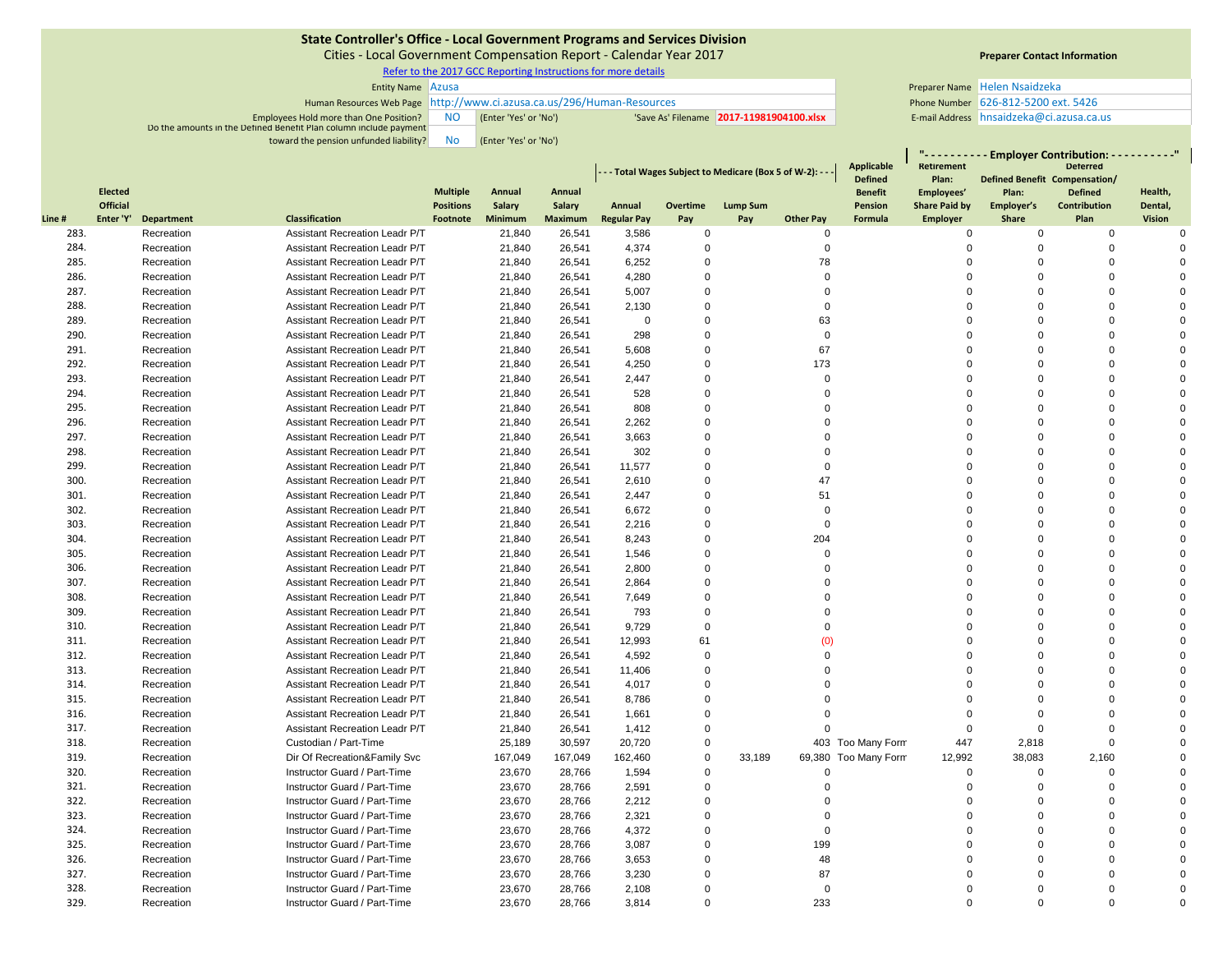Cities ‐ Local Government Compensation Report ‐ Calendar Year 2017

Refer to the 2017 GCC Reporting Instructions for more details

| <b>Entity Name</b> Azusa                                               |    |                       |  | Preparer Name Helen Nsaidzeka           |                                       |
|------------------------------------------------------------------------|----|-----------------------|--|-----------------------------------------|---------------------------------------|
| Human Resources Web Page http://www.ci.azusa.ca.us/296/Human-Resources |    |                       |  | Phone Number 626-812-5200 ext. 5426     |                                       |
| <b>Employees Hold more than One Position?</b>                          | NC | (Enter 'Yes' or 'No') |  | Save As' Filename 2017-11981904100.xlsx | E-mail Address hnsaidzeka@ci.azusa.ca |
| Do the amounts in the Defined Benefit Plan column include payment      |    |                       |  |                                         |                                       |
| toward the pension unfunded liability?                                 | Nc | (Enter 'Yes' or 'No') |  |                                         |                                       |

# **Preparer Contact Information**

**" ‐ ‐ ‐ ‐ ‐ ‐ ‐ ‐ ‐ ‐ Employer Contribution: ‐ ‐ ‐ ‐ ‐ ‐ ‐ ‐ ‐ ‐"**

|        |                 |                   |                                |                                     |               |         | - - Total Wages Subject to Medicare (Box 5 of W-2): - - |             |                 | Applicable       | Retirement                |                                    | <b>Deterred</b><br>Defined Benefit Compensation/ |                                |               |
|--------|-----------------|-------------------|--------------------------------|-------------------------------------|---------------|---------|---------------------------------------------------------|-------------|-----------------|------------------|---------------------------|------------------------------------|--------------------------------------------------|--------------------------------|---------------|
|        | <b>Elected</b>  |                   |                                |                                     | <b>Annual</b> | Annual  |                                                         |             |                 |                  | <b>Defined</b>            | Plan:                              |                                                  |                                | Health,       |
|        | <b>Official</b> |                   |                                | <b>Multiple</b><br><b>Positions</b> | Salary        | Salary  | Annual                                                  | Overtime    | <b>Lump Sum</b> |                  | <b>Benefit</b><br>Pension | Employees'<br><b>Share Paid by</b> | Plan:<br>Employer's                              | <b>Defined</b><br>Contribution | Dental,       |
| Line # | Enter 'Y'       | <b>Department</b> | <b>Classification</b>          | Footnote                            | Minimum       | Maximum | <b>Regular Pay</b>                                      | Pay         | Pay             | <b>Other Pay</b> | Formula                   | Employer                           | Share                                            | Plan                           | <b>Vision</b> |
| 283.   |                 | Recreation        | Assistant Recreation Leadr P/T |                                     | 21,840        | 26,541  | 3,586                                                   | 0           |                 | $\Omega$         |                           | 0                                  | 0                                                | 0                              | $\Omega$      |
| 284.   |                 | Recreation        | Assistant Recreation Leadr P/T |                                     | 21,840        | 26,541  | 4,374                                                   | $\Omega$    |                 | $\mathbf 0$      |                           | $\Omega$                           | $\mathbf 0$                                      | $\Omega$                       | $\Omega$      |
| 285.   |                 | Recreation        | Assistant Recreation Leadr P/T |                                     | 21,840        | 26,541  | 6,252                                                   | $\Omega$    |                 | 78               |                           | $\Omega$                           | $\Omega$                                         | $\Omega$                       | $\Omega$      |
| 286.   |                 | Recreation        | Assistant Recreation Leadr P/T |                                     | 21,840        | 26,541  | 4,280                                                   | $\Omega$    |                 | $\Omega$         |                           | $\Omega$                           | $\Omega$                                         | $\Omega$                       |               |
| 287.   |                 | Recreation        | Assistant Recreation Leadr P/T |                                     | 21,840        | 26,541  | 5,007                                                   | $\Omega$    |                 | $\Omega$         |                           | $\Omega$                           | $\Omega$                                         | $\Omega$                       |               |
| 288.   |                 | Recreation        | Assistant Recreation Leadr P/T |                                     | 21,840        | 26,541  | 2,130                                                   | $\Omega$    |                 | $\Omega$         |                           | $\Omega$                           | $\Omega$                                         | $\Omega$                       |               |
| 289.   |                 | Recreation        | Assistant Recreation Leadr P/T |                                     | 21,840        | 26,541  | $\mathbf 0$                                             | $\Omega$    |                 | 63               |                           | $\Omega$                           | $\Omega$                                         | $\Omega$                       |               |
| 290.   |                 | Recreation        | Assistant Recreation Leadr P/T |                                     | 21,840        | 26,541  | 298                                                     | $\Omega$    |                 | $\Omega$         |                           | $\Omega$                           | $\Omega$                                         | $\Omega$                       |               |
| 291.   |                 | Recreation        | Assistant Recreation Leadr P/T |                                     | 21,840        | 26,541  | 5,608                                                   | $\Omega$    |                 | 67               |                           | $\Omega$                           | $\Omega$                                         | $\Omega$                       | $\sqrt{2}$    |
| 292.   |                 | Recreation        | Assistant Recreation Leadr P/T |                                     | 21,840        | 26,541  | 4,250                                                   | $\Omega$    |                 | 173              |                           | $\Omega$                           | $\Omega$                                         | $\Omega$                       |               |
| 293.   |                 | Recreation        | Assistant Recreation Leadr P/T |                                     | 21,840        | 26,541  | 2,447                                                   | $\Omega$    |                 | $\Omega$         |                           | $\Omega$                           | $\Omega$                                         | $\Omega$                       | $\sqrt{2}$    |
| 294.   |                 | Recreation        | Assistant Recreation Leadr P/T |                                     | 21,840        | 26,541  | 528                                                     | $\Omega$    |                 | $\Omega$         |                           | $\Omega$                           | 0                                                | $\Omega$                       |               |
| 295.   |                 | Recreation        | Assistant Recreation Leadr P/T |                                     | 21,840        | 26,541  | 808                                                     | $\Omega$    |                 | $\Omega$         |                           | $\Omega$                           | $\Omega$                                         | $\Omega$                       | $\Omega$      |
| 296.   |                 | Recreation        | Assistant Recreation Leadr P/T |                                     | 21,840        | 26,541  | 2,262                                                   | $\Omega$    |                 | $\Omega$         |                           | $\Omega$                           | 0                                                | $\Omega$                       |               |
| 297.   |                 | Recreation        | Assistant Recreation Leadr P/T |                                     | 21,840        | 26,541  | 3,663                                                   | $\Omega$    |                 | $\Omega$         |                           | $\Omega$                           | $\Omega$                                         | $\Omega$                       | $\Omega$      |
| 298.   |                 | Recreation        | Assistant Recreation Leadr P/T |                                     | 21,840        | 26,541  | 302                                                     | $\Omega$    |                 | $\Omega$         |                           | $\Omega$                           | $\Omega$                                         | $\Omega$                       | $\sqrt{ }$    |
| 299.   |                 | Recreation        | Assistant Recreation Leadr P/T |                                     | 21,840        | 26,541  | 11,577                                                  | $\Omega$    |                 | $\Omega$         |                           | $\Omega$                           | $\Omega$                                         | $\Omega$                       |               |
| 300.   |                 | Recreation        | Assistant Recreation Leadr P/T |                                     | 21,840        | 26,541  | 2,610                                                   | $\Omega$    |                 | 47               |                           | $\Omega$                           | $\Omega$                                         | $\Omega$                       | $\sqrt{2}$    |
| 301.   |                 | Recreation        | Assistant Recreation Leadr P/T |                                     | 21,840        | 26,541  | 2,447                                                   | $\mathbf 0$ |                 | 51               |                           | $\Omega$                           | $\Omega$                                         | $\Omega$                       |               |
| 302.   |                 | Recreation        | Assistant Recreation Leadr P/T |                                     | 21,840        | 26,541  | 6,672                                                   | $\Omega$    |                 | $\Omega$         |                           | $\Omega$                           | $\Omega$                                         | $\Omega$                       | $\sqrt{2}$    |
| 303.   |                 | Recreation        | Assistant Recreation Leadr P/T |                                     | 21,840        | 26,541  | 2,216                                                   | $\Omega$    |                 | $\Omega$         |                           | $\Omega$                           | $\Omega$                                         | $\Omega$                       |               |
| 304.   |                 | Recreation        | Assistant Recreation Leadr P/T |                                     | 21,840        | 26,541  | 8,243                                                   | $\Omega$    |                 | 204              |                           | $\Omega$                           | $\Omega$                                         | $\Omega$                       | $\Omega$      |
| 305.   |                 | Recreation        | Assistant Recreation Leadr P/T |                                     | 21,840        | 26,541  | 1,546                                                   | $\mathbf 0$ |                 | $\Omega$         |                           | $\Omega$                           | $\Omega$                                         | $\Omega$                       |               |
| 306.   |                 | Recreation        | Assistant Recreation Leadr P/T |                                     | 21,840        | 26,541  | 2,800                                                   | $\Omega$    |                 | $\Omega$         |                           | $\Omega$                           | $\Omega$                                         | $\Omega$                       |               |
| 307.   |                 | Recreation        | Assistant Recreation Leadr P/T |                                     | 21,840        | 26,541  | 2,864                                                   | $\Omega$    |                 |                  |                           | $\Omega$                           | $\Omega$                                         | $\Omega$                       |               |
| 308.   |                 | Recreation        | Assistant Recreation Leadr P/T |                                     | 21,840        | 26,541  | 7,649                                                   | $\Omega$    |                 | $\Omega$         |                           | $\Omega$                           | $\Omega$                                         | $\Omega$                       | $\Omega$      |
| 309.   |                 | Recreation        | Assistant Recreation Leadr P/T |                                     | 21,840        | 26,541  | 793                                                     | $\Omega$    |                 | $\Omega$         |                           | $\Omega$                           | $\Omega$                                         | $\Omega$                       | $\Omega$      |
| 310.   |                 | Recreation        | Assistant Recreation Leadr P/T |                                     | 21,840        | 26,541  | 9,729                                                   | $\Omega$    |                 | $\Omega$         |                           | $\Omega$                           | $\Omega$                                         | $\Omega$                       | $\Omega$      |
| 311.   |                 | Recreation        | Assistant Recreation Leadr P/T |                                     | 21,840        | 26,541  | 12,993                                                  | 61          |                 | (0)              |                           | $\Omega$                           | $\Omega$                                         | $\Omega$                       | $\Omega$      |
| 312.   |                 | Recreation        | Assistant Recreation Leadr P/T |                                     | 21,840        | 26,541  | 4,592                                                   | $\Omega$    |                 | $\Omega$         |                           | $\Omega$                           | $\Omega$                                         | $\Omega$                       | $\Omega$      |
| 313.   |                 | Recreation        | Assistant Recreation Leadr P/T |                                     | 21,840        | 26,541  | 11,406                                                  | $\Omega$    |                 |                  |                           | $\Omega$                           | $\Omega$                                         | $\Omega$                       |               |
| 314.   |                 | Recreation        | Assistant Recreation Leadr P/T |                                     | 21,840        | 26,541  | 4,017                                                   | $\Omega$    |                 |                  |                           | $\Omega$                           | $\Omega$                                         | $\Omega$                       |               |
| 315.   |                 | Recreation        | Assistant Recreation Leadr P/T |                                     | 21,840        | 26,541  | 8,786                                                   | $\Omega$    |                 |                  |                           | $\Omega$                           | $\Omega$                                         | $\Omega$                       | $\Omega$      |
| 316.   |                 | Recreation        | Assistant Recreation Leadr P/T |                                     | 21,840        | 26,541  | 1,661                                                   | $\Omega$    |                 | $\Omega$         |                           | $\Omega$                           | $\Omega$                                         | $\Omega$                       |               |
| 317.   |                 | Recreation        | Assistant Recreation Leadr P/T |                                     | 21,840        | 26,541  | 1,412                                                   | $\Omega$    |                 | $\Omega$         |                           | $\Omega$                           | $\Omega$                                         | $\Omega$                       | $\sqrt{ }$    |
| 318.   |                 | Recreation        | Custodian / Part-Time          |                                     | 25,189        | 30,597  | 20,720                                                  | $\mathbf 0$ |                 |                  | 403 Too Many Form         | 447                                | 2,818                                            | $\Omega$                       | $\Omega$      |
| 319.   |                 | Recreation        | Dir Of Recreation&Family Svc   |                                     | 167,049       | 167,049 | 162,460                                                 | $\Omega$    | 33,189          |                  | 69,380 Too Many Form      | 12,992                             | 38,083                                           | 2,160                          | $\Omega$      |
| 320.   |                 | Recreation        | Instructor Guard / Part-Time   |                                     | 23,670        | 28,766  | 1,594                                                   | $\Omega$    |                 | $\Omega$         |                           | $\Omega$                           | $\Omega$                                         | $\Omega$                       |               |
| 321.   |                 | Recreation        | Instructor Guard / Part-Time   |                                     | 23,670        | 28,766  | 2,591                                                   | $\Omega$    |                 | $\Omega$         |                           | $\Omega$                           | $\Omega$                                         | $\Omega$                       |               |
| 322.   |                 | Recreation        | Instructor Guard / Part-Time   |                                     | 23,670        | 28,766  | 2.212                                                   | $\Omega$    |                 |                  |                           | $\Omega$                           | $\Omega$                                         | $\Omega$                       |               |
| 323.   |                 | Recreation        | Instructor Guard / Part-Time   |                                     | 23,670        | 28,766  | 2,321                                                   | $\Omega$    |                 | $\Omega$         |                           | $\Omega$                           | $\Omega$                                         | $\Omega$                       | $\Omega$      |
| 324.   |                 | Recreation        | Instructor Guard / Part-Time   |                                     | 23,670        | 28,766  | 4,372                                                   | $\Omega$    |                 | $\Omega$         |                           | $\Omega$                           | $\Omega$                                         | $\Omega$                       | $\Omega$      |
| 325.   |                 | Recreation        | Instructor Guard / Part-Time   |                                     | 23,670        | 28,766  | 3,087                                                   | $\Omega$    |                 | 199              |                           | $\Omega$                           | $\Omega$                                         | $\Omega$                       |               |
| 326.   |                 | Recreation        | Instructor Guard / Part-Time   |                                     | 23,670        | 28,766  | 3,653                                                   | $\Omega$    |                 | 48               |                           | $\Omega$                           | $\Omega$                                         | $\Omega$                       |               |
| 327.   |                 | Recreation        | Instructor Guard / Part-Time   |                                     | 23,670        | 28,766  | 3,230                                                   | $\Omega$    |                 | 87               |                           |                                    | $\Omega$                                         | $\Omega$                       |               |
| 328.   |                 | Recreation        | Instructor Guard / Part-Time   |                                     | 23,670        | 28,766  | 2,108                                                   | $\Omega$    |                 | $\Omega$         |                           |                                    | $\Omega$                                         | $\Omega$                       | $\Omega$      |
| 329.   |                 | Recreation        | Instructor Guard / Part-Time   |                                     | 23,670        | 28,766  | 3.814                                                   | $\Omega$    |                 | 233              |                           |                                    | $\Omega$                                         | $\Omega$                       | $\Omega$      |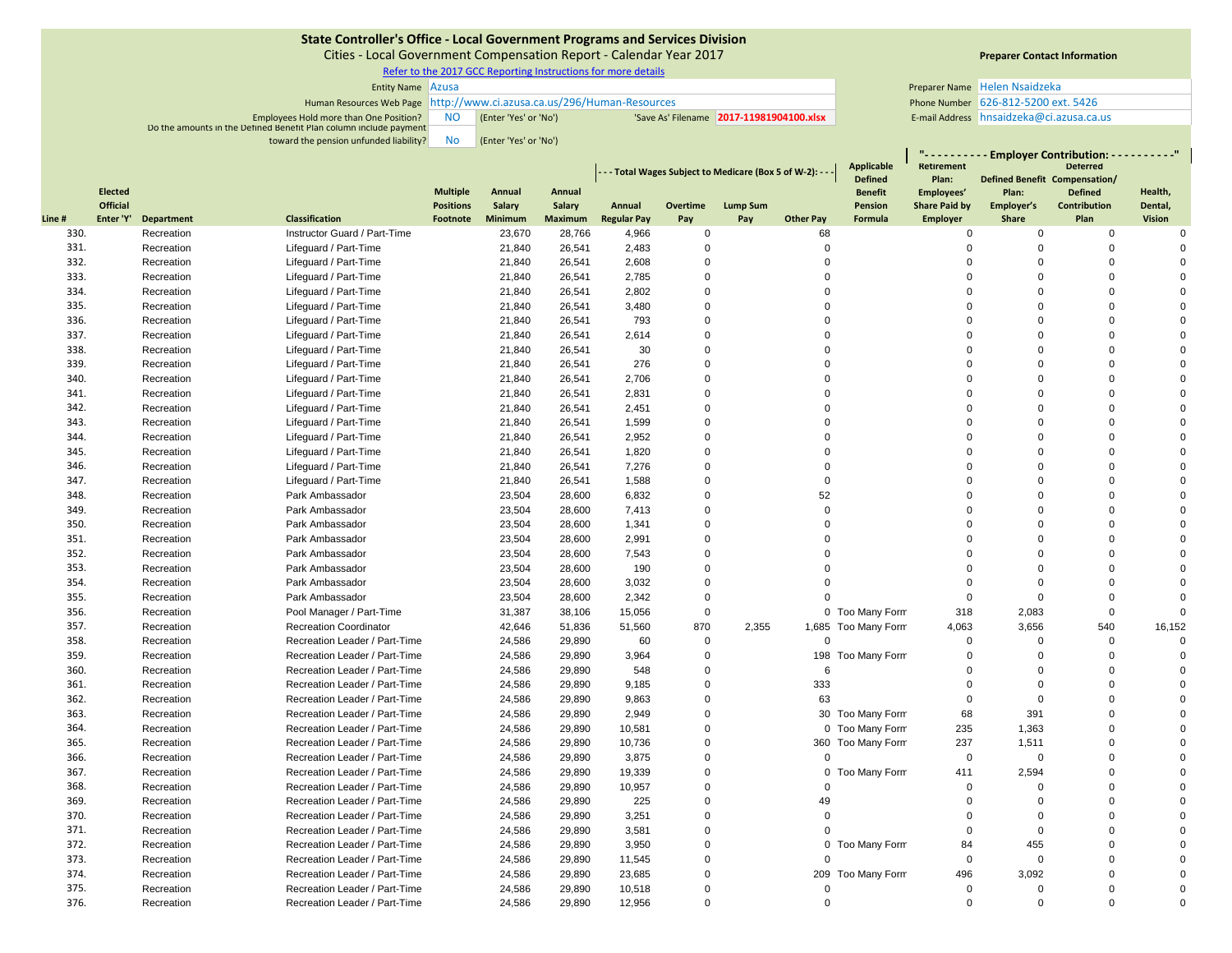Cities ‐ Local Government Compensation Report ‐ Calendar Year 2017

Refer to the 2017 GCC Reporting Instructions for more details

| <b>Entity Name Azusa</b>                                               |      |                       |  | Preparer Name Helen Nsaidzeka           |                                       |
|------------------------------------------------------------------------|------|-----------------------|--|-----------------------------------------|---------------------------------------|
| Human Resources Web Page http://www.ci.azusa.ca.us/296/Human-Resources |      |                       |  | Phone Number 626-812-5200 ext. 5426     |                                       |
| Employees Hold more than One Position?                                 | - NC | (Enter 'Yes' or 'No') |  | Save As' Filename 2017-11981904100.xlsx | E-mail Address hnsaidzeka@ci.azusa.ca |
| Do the amounts in the Defined Benefit Plan column include payment      |      |                       |  |                                         |                                       |
| toward the pension unfunded liability?                                 | No   | (Enter 'Yes' or 'No') |  |                                         |                                       |

# **Preparer Contact Information**

E-mail Address hnsaidzeka@ci.azusa.ca.us

|              |                 |                          |                                                                |                                     |                  |                  |                    |                      | - - Total Wages Subject to Medicare (Box 5 of W-2): - - - |                  | <b>Applicable</b>         | - Employer Contribution: - - - - - - - - - "<br><b>Retirement</b><br><b>Deterred</b> |                               |                                |                    |          |
|--------------|-----------------|--------------------------|----------------------------------------------------------------|-------------------------------------|------------------|------------------|--------------------|----------------------|-----------------------------------------------------------|------------------|---------------------------|--------------------------------------------------------------------------------------|-------------------------------|--------------------------------|--------------------|----------|
|              | <b>Elected</b>  |                          |                                                                |                                     |                  |                  |                    |                      |                                                           |                  | <b>Defined</b>            | Plan:                                                                                | Defined Benefit Compensation/ |                                |                    |          |
|              | <b>Official</b> |                          |                                                                | <b>Multiple</b><br><b>Positions</b> | Annual<br>Salary | Annual<br>Salary | Annual             | Overtime             | <b>Lump Sum</b>                                           |                  | <b>Benefit</b><br>Pension | Employees'<br><b>Share Paid by</b>                                                   | Plan:<br>Employer's           | <b>Defined</b><br>Contribution | Health,<br>Dental, |          |
| Line #       | Enter 'Y'       | <b>Department</b>        | <b>Classification</b>                                          | Footnote                            | Minimum          | Maximum          | <b>Regular Pay</b> | Pay                  | Pay                                                       | <b>Other Pay</b> | Formula                   | <b>Employer</b>                                                                      | Share                         | Plan                           | Vision             |          |
| 330.         |                 | Recreation               | Instructor Guard / Part-Time                                   |                                     | 23,670           | 28,766           | 4,966              | 0                    |                                                           | 68               |                           | $\mathbf 0$                                                                          | $\mathbf 0$                   | $\mathbf 0$                    |                    | $\Omega$ |
| 331.         |                 | Recreation               | Lifeguard / Part-Time                                          |                                     | 21,840           | 26,541           | 2,483              | $\Omega$             |                                                           | $\Omega$         |                           | $\Omega$                                                                             | 0                             | $\Omega$                       |                    |          |
| 332.         |                 | Recreation               | Lifeguard / Part-Time                                          |                                     | 21,840           | 26,541           | 2,608              | $\Omega$             |                                                           | $\Omega$         |                           | $\Omega$                                                                             | $\Omega$                      | $\Omega$                       |                    |          |
| 333.         |                 | Recreation               | Lifequard / Part-Time                                          |                                     | 21,840           | 26,541           | 2,785              | $\Omega$             |                                                           | $\Omega$         |                           | $\Omega$                                                                             | $\Omega$                      | $\Omega$                       |                    |          |
| 334.         |                 | Recreation               | Lifequard / Part-Time                                          |                                     | 21,840           | 26,541           | 2,802              | $\Omega$             |                                                           | $\Omega$         |                           | $\Omega$                                                                             | $\Omega$                      | $\Omega$                       |                    | $\Omega$ |
| 335.         |                 | Recreation               | Lifeguard / Part-Time                                          |                                     | 21,840           | 26,541           | 3,480              | $\Omega$             |                                                           | $\Omega$         |                           | $\Omega$                                                                             | $\Omega$                      | $\Omega$                       |                    |          |
| 336.         |                 | Recreation               | Lifeguard / Part-Time                                          |                                     | 21,840           | 26,541           | 793                | $\Omega$             |                                                           | $\Omega$         |                           | $\Omega$                                                                             | $\Omega$                      | $\Omega$                       |                    |          |
| 337.         |                 | Recreation               | Lifeguard / Part-Time                                          |                                     | 21,840           | 26,541           | 2,614              | $\Omega$             |                                                           | $\Omega$         |                           | $\Omega$                                                                             | $\Omega$                      | $\Omega$                       |                    |          |
| 338.         |                 | Recreation               | Lifeguard / Part-Time                                          |                                     | 21,840           | 26,541           | 30                 | $\Omega$             |                                                           | $\Omega$         |                           | $\Omega$                                                                             | $\Omega$                      | $\Omega$                       |                    | $\Omega$ |
| 339.         |                 | Recreation               | Lifeguard / Part-Time                                          |                                     | 21,840           | 26,541           | 276                | $\Omega$             |                                                           | $\Omega$         |                           | $\Omega$                                                                             | $\Omega$                      | $\Omega$                       |                    |          |
| 340.         |                 | Recreation               | Lifeguard / Part-Time                                          |                                     | 21,840           | 26,541           | 2,706              | $\Omega$             |                                                           | $\Omega$         |                           | $\Omega$                                                                             | $\Omega$                      | $\Omega$                       |                    | $\Omega$ |
| 341.         |                 | Recreation               | Lifeguard / Part-Time                                          |                                     | 21,840           | 26,541           | 2,831              | $\Omega$             |                                                           | $\Omega$         |                           | $\Omega$                                                                             | $\Omega$                      | $\Omega$                       |                    |          |
| 342.         |                 | Recreation               | Lifequard / Part-Time                                          |                                     | 21,840           | 26,541           | 2,451              | $\Omega$             |                                                           | $\Omega$         |                           | $\Omega$                                                                             | $\Omega$                      | $\Omega$                       |                    |          |
| 343.         |                 | Recreation               | Lifequard / Part-Time                                          |                                     | 21,840           | 26,541           | 1,599              | $\Omega$             |                                                           | $\Omega$         |                           | $\Omega$                                                                             | $\Omega$                      | $\Omega$                       |                    | $\Omega$ |
| 344.         |                 | Recreation               | Lifequard / Part-Time                                          |                                     | 21,840           | 26,541           | 2,952              | $\Omega$             |                                                           | $\Omega$         |                           | $\Omega$                                                                             | $\Omega$                      | $\Omega$                       |                    |          |
| 345.         |                 | Recreation               | Lifeguard / Part-Time                                          |                                     | 21,840           | 26,541           | 1,820              | $\Omega$             |                                                           | $\Omega$         |                           | $\Omega$                                                                             | $\Omega$                      | $\Omega$                       |                    |          |
| 346.         |                 | Recreation               | Lifeguard / Part-Time                                          |                                     | 21,840           | 26,541           | 7,276              | $\mathbf 0$          |                                                           | $\Omega$         |                           | $\Omega$                                                                             | $\Omega$                      | $\Omega$                       |                    |          |
| 347.         |                 | Recreation               | Lifeguard / Part-Time                                          |                                     | 21,840           | 26,541           | 1,588              | $\Omega$             |                                                           | $\Omega$         |                           | $\Omega$                                                                             | $\Omega$                      | $\Omega$                       |                    | $\Omega$ |
| 348.         |                 | Recreation               | Park Ambassador                                                |                                     | 23,504           | 28,600           | 6,832              | $\Omega$             |                                                           | 52               |                           | $\Omega$                                                                             | $\Omega$                      | $\Omega$                       |                    |          |
| 349.         |                 | Recreation               | Park Ambassador                                                |                                     | 23,504           | 28,600           | 7,413              | $\Omega$             |                                                           | $\Omega$         |                           | $\Omega$                                                                             | $\Omega$                      | $\Omega$                       |                    |          |
| 350.         |                 | Recreation               | Park Ambassador                                                |                                     | 23,504           | 28,600           | 1,341              | $\Omega$             |                                                           | $\Omega$         |                           | $\Omega$                                                                             | $\Omega$                      | $\Omega$                       |                    | $\Omega$ |
| 351.         |                 | Recreation               | Park Ambassador                                                |                                     | 23,504           | 28,600           | 2,991              | $\Omega$             |                                                           | $\Omega$         |                           | $\Omega$                                                                             | $\Omega$                      | $\Omega$                       |                    |          |
| 352.         |                 | Recreation               | Park Ambassador                                                |                                     | 23,504           | 28,600           | 7,543              | $\Omega$             |                                                           | $\Omega$         |                           | $\Omega$                                                                             | $\Omega$                      | $\Omega$                       |                    | $\Omega$ |
| 353.         |                 | Recreation               | Park Ambassador                                                |                                     | 23,504           | 28,600           | 190                | $\mathbf 0$          |                                                           | $\Omega$         |                           | $\Omega$                                                                             | $\Omega$                      | $\Omega$                       |                    |          |
| 354.         |                 | Recreation               | Park Ambassador                                                |                                     | 23,504           | 28,600           | 3,032              | $\Omega$             |                                                           | $\Omega$         |                           | $\Omega$                                                                             | $\Omega$                      | $\Omega$                       |                    | $\Omega$ |
| 355.         |                 | Recreation               | Park Ambassador                                                |                                     | 23,504           | 28,600           | 2,342              | $\mathbf 0$          |                                                           | $\Omega$         |                           | $\mathbf 0$                                                                          | $\mathbf 0$                   | $\Omega$                       |                    | $\Omega$ |
| 356.         |                 | Recreation               | Pool Manager / Part-Time                                       |                                     | 31,387           | 38,106           | 15,056             | $\mathbf 0$          |                                                           |                  | 0 Too Many Form           | 318                                                                                  | 2,083                         | $\Omega$                       |                    | $\Omega$ |
| 357.         |                 | Recreation               | <b>Recreation Coordinator</b>                                  |                                     | 42,646           | 51,836           | 51,560             | 870                  | 2,355                                                     |                  | 1,685 Too Many Form       | 4,063                                                                                | 3,656                         | 540                            | 16,152             |          |
| 358.         |                 | Recreation               | Recreation Leader / Part-Time                                  |                                     | 24,586           | 29,890           | 60                 | $\mathbf 0$          |                                                           | $\Omega$         |                           | $\Omega$                                                                             | $\Omega$                      | $\Omega$                       |                    |          |
| 359.         |                 | Recreation               | Recreation Leader / Part-Time                                  |                                     | 24,586           | 29,890           | 3,964              | $\Omega$             |                                                           |                  | 198 Too Many Form         | $\Omega$                                                                             | $\Omega$                      | $\Omega$                       |                    |          |
| 360.         |                 | Recreation               | Recreation Leader / Part-Time                                  |                                     | 24,586           | 29,890           | 548                | $\Omega$             |                                                           | 6                |                           | $\Omega$                                                                             | $\Omega$                      | $\Omega$                       |                    |          |
| 361.         |                 | Recreation               | Recreation Leader / Part-Time                                  |                                     | 24,586           | 29,890           | 9,185              | $\Omega$             |                                                           | 333              |                           | $\mathbf 0$                                                                          | $\Omega$                      | $\Omega$                       |                    | $\Omega$ |
| 362.         |                 | Recreation               | Recreation Leader / Part-Time                                  |                                     | 24,586           | 29,890           | 9,863              | $\mathbf 0$          |                                                           | 63               |                           | $\Omega$                                                                             | $\Omega$                      | $\Omega$                       |                    |          |
| 363.         |                 | Recreation               | Recreation Leader / Part-Time                                  |                                     | 24,586           | 29,890           | 2,949              | $\Omega$             |                                                           |                  | 30 Too Many Form          | 68                                                                                   | 391                           | $\Omega$                       |                    |          |
| 364.         |                 | Recreation               | Recreation Leader / Part-Time                                  |                                     | 24,586           | 29,890           | 10,581             | $\mathbf 0$          |                                                           |                  | 0 Too Many Form           | 235                                                                                  | 1,363                         | $\Omega$<br>$\Omega$           |                    |          |
| 365.         |                 | Recreation               | Recreation Leader / Part-Time                                  |                                     | 24,586           | 29,890           | 10,736             | $\Omega$             |                                                           |                  | 360 Too Many Form         | 237                                                                                  | 1,511                         | $\Omega$                       |                    | $\Omega$ |
| 366.<br>367. |                 | Recreation               | Recreation Leader / Part-Time                                  |                                     | 24,586           | 29,890           | 3,875              | $\Omega$<br>$\Omega$ |                                                           | $\Omega$         |                           | $\mathbf 0$                                                                          | $\mathbf 0$                   | $\Omega$                       |                    |          |
| 368.         |                 | Recreation               | Recreation Leader / Part-Time                                  |                                     | 24,586           | 29,890           | 19,339             |                      |                                                           | $\Omega$         | 0 Too Many Form           | 411                                                                                  | 2,594                         | $\Omega$                       |                    |          |
|              |                 | Recreation               | Recreation Leader / Part-Time                                  |                                     | 24,586           | 29,890           | 10,957             | $\Omega$<br>$\Omega$ |                                                           |                  |                           | $\Omega$<br>$\Omega$                                                                 | $\Omega$                      | $\Omega$                       |                    |          |
| 369.         |                 | Recreation               | Recreation Leader / Part-Time                                  |                                     | 24,586           | 29,890           | 225                | $\Omega$             |                                                           | 49<br>$\Omega$   |                           | $\Omega$                                                                             | $\Omega$<br>$\Omega$          | $\Omega$                       |                    |          |
| 370.<br>371. |                 | Recreation<br>Recreation | Recreation Leader / Part-Time<br>Recreation Leader / Part-Time |                                     | 24,586           | 29,890           | 3,251<br>3,581     | $\mathbf 0$          |                                                           | $\Omega$         |                           | $\Omega$                                                                             | $\mathbf 0$                   | $\Omega$                       |                    |          |
| 372.         |                 | Recreation               | Recreation Leader / Part-Time                                  |                                     | 24,586<br>24,586 | 29,890           | 3,950              | $\Omega$             |                                                           |                  | 0 Too Many Form           | 84                                                                                   | 455                           | $\Omega$                       |                    | $\Omega$ |
| 373.         |                 |                          | Recreation Leader / Part-Time                                  |                                     | 24,586           | 29,890<br>29,890 | 11,545             | $\Omega$             |                                                           | $\Omega$         |                           | $\mathbf 0$                                                                          | $\mathbf 0$                   | $\Omega$                       |                    |          |
| 374.         |                 | Recreation<br>Recreation | Recreation Leader / Part-Time                                  |                                     | 24,586           | 29,890           | 23,685             | $\Omega$             |                                                           |                  | 209 Too Many Form         | 496                                                                                  | 3,092                         | $\Omega$                       |                    | $\Omega$ |
| 375.         |                 | Recreation               | Recreation Leader / Part-Time                                  |                                     | 24,586           | 29,890           | 10,518             | $\Omega$             |                                                           | $\Omega$         |                           | $\Omega$                                                                             | $\Omega$                      | $\Omega$                       |                    | $\Omega$ |
| 376.         |                 | Recreation               | Recreation Leader / Part-Time                                  |                                     | 24.586           | 29.890           | 12.956             | $\Omega$             |                                                           | $\Omega$         |                           | $\Omega$                                                                             | $\Omega$                      |                                |                    | $\Omega$ |
|              |                 |                          |                                                                |                                     |                  |                  |                    |                      |                                                           |                  |                           |                                                                                      |                               |                                |                    |          |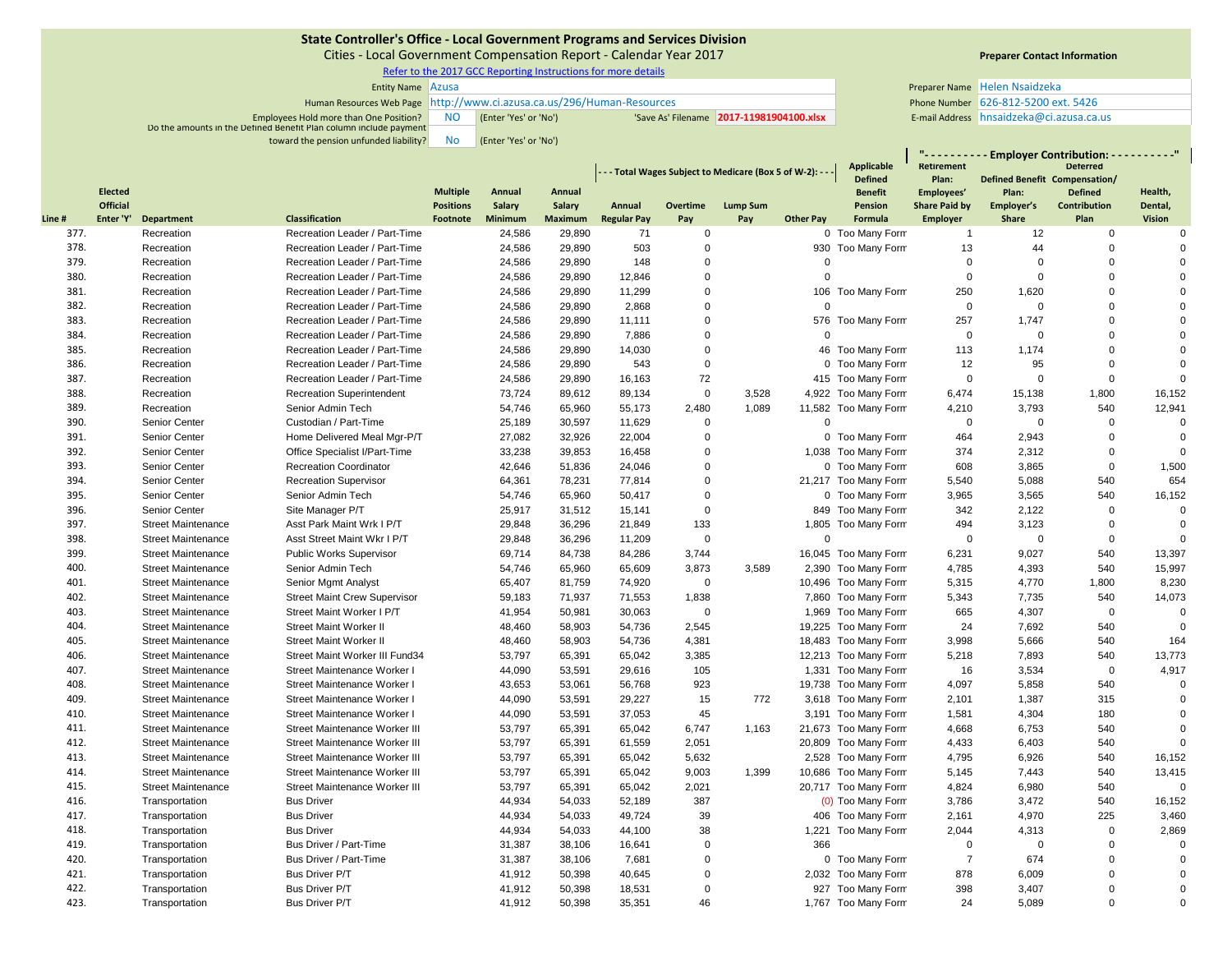Cities ‐ Local Government Compensation Report ‐ Calendar Year 2017

Refer to the 2017 GCC Reporting Instructions for more details

| <b>Entity Name Azusa</b>                                               |    |                       |  | Preparer Name Helen Nsaidzeka           |                                       |
|------------------------------------------------------------------------|----|-----------------------|--|-----------------------------------------|---------------------------------------|
| Human Resources Web Page http://www.ci.azusa.ca.us/296/Human-Resources |    |                       |  | Phone Number 626-812-5200 ext. 5426     |                                       |
| Employees Hold more than One Position?                                 |    | (Enter 'Yes' or 'No') |  | Save As' Filename 2017-11981904100.xlsx | E-mail Address hnsaidzeka@ci.azusa.ca |
| Do the amounts in the Defined Benefit Plan column include payment      |    |                       |  |                                         |                                       |
| toward the pension unfunded liability?                                 | No | (Enter 'Yes' or 'No') |  |                                         |                                       |

# **Preparer Contact Information**

E-mail Address hnsaidzeka@ci.azusa.ca.us

**"**

|       |                 |                           |                                     | - - - Total Wages Subject to Medicare (Box 5 of W-2): - - - |         |                |                    |                         |                 | <b>Applicable</b> | - Employer Contribution: - - - - - - - - - "<br><b>Deterred</b><br><b>Retirement</b><br>Defined Benefit Compensation/ |                      |                      |                         |                         |
|-------|-----------------|---------------------------|-------------------------------------|-------------------------------------------------------------|---------|----------------|--------------------|-------------------------|-----------------|-------------------|-----------------------------------------------------------------------------------------------------------------------|----------------------|----------------------|-------------------------|-------------------------|
|       | <b>Elected</b>  |                           |                                     | <b>Multiple</b>                                             | Annual  | Annual         |                    |                         |                 |                   | <b>Defined</b><br><b>Benefit</b>                                                                                      | Plan:<br>Employees'  | Plan:                | <b>Defined</b>          | Health,                 |
|       | <b>Official</b> |                           |                                     | <b>Positions</b>                                            | Salary  | <b>Salary</b>  | Annual             | Overtime                | <b>Lump Sum</b> |                   | Pension                                                                                                               | <b>Share Paid by</b> | Employer's           | Contribution            | Dental,                 |
| Line# | Enter 'Y'       | <b>Department</b>         | <b>Classification</b>               | Footnote                                                    | Minimum | <b>Maximum</b> | <b>Regular Pay</b> | Pay                     | Pay             | <b>Other Pay</b>  | <b>Formula</b>                                                                                                        | <b>Employer</b>      | <b>Share</b>         | Plan                    | <b>Vision</b>           |
| 377.  |                 | Recreation                | Recreation Leader / Part-Time       |                                                             | 24,586  | 29,890         | 71                 | $\mathbf 0$             |                 |                   | 0 Too Many Form                                                                                                       | $\overline{1}$       | 12                   | $\mathbf 0$             | $\Omega$                |
| 378.  |                 | Recreation                | Recreation Leader / Part-Time       |                                                             | 24,586  | 29,890         | 503                | $\mathbf 0$             |                 |                   | 930 Too Many Form                                                                                                     | 13                   | 44                   | $\overline{0}$          | $\Omega$                |
| 379.  |                 | Recreation                | Recreation Leader / Part-Time       |                                                             | 24,586  | 29,890         | 148                | $\mathbf 0$<br>$\Omega$ |                 |                   |                                                                                                                       | $\mathbf 0$          | $\Omega$<br>$\Omega$ | $\overline{0}$          | $\Omega$<br>$\Omega$    |
| 380.  |                 | Recreation                | Recreation Leader / Part-Time       |                                                             | 24,586  | 29,890         | 12,846             |                         |                 | $\overline{0}$    |                                                                                                                       | $\pmb{0}$            |                      | $\overline{0}$          | $\Omega$                |
| 381.  |                 | Recreation                | Recreation Leader / Part-Time       |                                                             | 24,586  | 29,890         | 11,299             | $\mathbf 0$             |                 | $\Omega$          | 106 Too Many Form                                                                                                     | 250                  | 1,620                | $\mathbf 0$<br>$\Omega$ | $\Omega$                |
| 382.  |                 | Recreation                | Recreation Leader / Part-Time       |                                                             | 24,586  | 29,890         | 2,868              | $\mathbf 0$             |                 |                   |                                                                                                                       | $\mathbf 0$          | $\Omega$             |                         |                         |
| 383.  |                 | Recreation                | Recreation Leader / Part-Time       |                                                             | 24,586  | 29,890         | 11,111             | $\mathbf 0$             |                 | $\Omega$          | 576 Too Many Form                                                                                                     | 257                  | 1,747                | $\mathbf 0$             | $\Omega$                |
| 384.  |                 | Recreation                | Recreation Leader / Part-Time       |                                                             | 24,586  | 29,890         | 7,886              | $\Omega$                |                 |                   |                                                                                                                       | $\mathbf 0$          | $\Omega$             | $\mathbf 0$             | $\mathbf 0$<br>$\Omega$ |
| 385.  |                 | Recreation                | Recreation Leader / Part-Time       |                                                             | 24,586  | 29,890         | 14,030             | $\mathbf 0$             |                 |                   | 46 Too Many Form                                                                                                      | 113                  | 1,174                | $\mathbf 0$             |                         |
| 386.  |                 | Recreation                | Recreation Leader / Part-Time       |                                                             | 24,586  | 29,890         | 543                | $\mathbf 0$             |                 |                   | 0 Too Many Form                                                                                                       | 12                   | 95                   | $\mathbf 0$             | $\Omega$                |
| 387.  |                 | Recreation                | Recreation Leader / Part-Time       |                                                             | 24,586  | 29,890         | 16,163             | 72                      |                 |                   | 415 Too Many Form                                                                                                     | $\mathbf 0$          | $\mathbf 0$          | $\mathbf 0$             | $\Omega$                |
| 388.  |                 | Recreation                | <b>Recreation Superintendent</b>    |                                                             | 73,724  | 89,612         | 89,134             | $\mathbf 0$             | 3,528           |                   | 4,922 Too Many Form                                                                                                   | 6,474                | 15,138               | 1,800                   | 16,152                  |
| 389.  |                 | Recreation                | Senior Admin Tech                   |                                                             | 54,746  | 65,960         | 55,173             | 2,480                   | 1,089           |                   | 11,582 Too Many Form                                                                                                  | 4,210                | 3,793                | 540                     | 12,941                  |
| 390.  |                 | <b>Senior Center</b>      | Custodian / Part-Time               |                                                             | 25,189  | 30,597         | 11,629             | $\mathbf 0$             |                 | $\overline{0}$    |                                                                                                                       | $\mathbf 0$          | $\mathbf 0$          | $\mathbf 0$             | $\Omega$                |
| 391.  |                 | Senior Center             | Home Delivered Meal Mgr-P/T         |                                                             | 27,082  | 32,926         | 22,004             | $\Omega$                |                 |                   | 0 Too Many Form                                                                                                       | 464                  | 2,943                | $\mathbf 0$             | $\Omega$                |
| 392.  |                 | Senior Center             | Office Specialist I/Part-Time       |                                                             | 33,238  | 39,853         | 16,458             | $\mathbf 0$             |                 |                   | 1,038 Too Many Form                                                                                                   | 374                  | 2,312                | $\mathbf 0$             | $\Omega$                |
| 393.  |                 | Senior Center             | <b>Recreation Coordinator</b>       |                                                             | 42,646  | 51,836         | 24,046             | $\mathbf 0$             |                 |                   | 0 Too Many Form                                                                                                       | 608                  | 3,865                | $\overline{0}$          | 1,500                   |
| 394.  |                 | Senior Center             | <b>Recreation Supervisor</b>        |                                                             | 64,361  | 78,231         | 77,814             | $\mathbf 0$             |                 |                   | 21,217 Too Many Form                                                                                                  | 5,540                | 5,088                | 540                     | 654                     |
| 395.  |                 | <b>Senior Center</b>      | Senior Admin Tech                   |                                                             | 54,746  | 65,960         | 50,417             | $\mathbf 0$             |                 |                   | 0 Too Many Form                                                                                                       | 3,965                | 3,565                | 540                     | 16,152                  |
| 396.  |                 | Senior Center             | Site Manager P/T                    |                                                             | 25,917  | 31,512         | 15,141             | $\Omega$                |                 |                   | 849 Too Many Form                                                                                                     | 342                  | 2,122                | $\mathbf 0$             | $\mathbf 0$             |
| 397.  |                 | <b>Street Maintenance</b> | Asst Park Maint Wrk I P/T           |                                                             | 29,848  | 36,296         | 21,849             | 133                     |                 |                   | 1,805 Too Many Form                                                                                                   | 494                  | 3,123                | $\overline{0}$          | $\Omega$                |
| 398.  |                 | <b>Street Maintenance</b> | Asst Street Maint Wkr I P/T         |                                                             | 29,848  | 36,296         | 11,209             | $\mathbf 0$             |                 | $\mathbf 0$       |                                                                                                                       | $\mathbf 0$          | $\mathbf 0$          | $\mathbf 0$             | $\Omega$                |
| 399.  |                 | <b>Street Maintenance</b> | <b>Public Works Supervisor</b>      |                                                             | 69,714  | 84,738         | 84,286             | 3,744                   |                 |                   | 16,045 Too Many Form                                                                                                  | 6,231                | 9,027                | 540                     | 13,397                  |
| 400.  |                 | <b>Street Maintenance</b> | Senior Admin Tech                   |                                                             | 54,746  | 65,960         | 65,609             | 3,873                   | 3,589           |                   | 2,390 Too Many Form                                                                                                   | 4,785                | 4,393                | 540                     | 15,997                  |
| 401.  |                 | <b>Street Maintenance</b> | Senior Mgmt Analyst                 |                                                             | 65,407  | 81,759         | 74,920             | $\mathbf 0$             |                 |                   | 10,496 Too Many Form                                                                                                  | 5,315                | 4,770                | 1,800                   | 8,230                   |
| 402.  |                 | <b>Street Maintenance</b> | <b>Street Maint Crew Supervisor</b> |                                                             | 59,183  | 71,937         | 71,553             | 1,838                   |                 |                   | 7,860 Too Many Form                                                                                                   | 5,343                | 7,735                | 540                     | 14,073                  |
| 403.  |                 | <b>Street Maintenance</b> | Street Maint Worker I P/T           |                                                             | 41,954  | 50,981         | 30,063             | $\Omega$                |                 |                   | 1,969 Too Many Form                                                                                                   | 665                  | 4,307                | $\overline{0}$          | $\mathbf 0$             |
| 404.  |                 | <b>Street Maintenance</b> | <b>Street Maint Worker II</b>       |                                                             | 48,460  | 58,903         | 54,736             | 2,545                   |                 |                   | 19,225 Too Many Form                                                                                                  | 24                   | 7,692                | 540                     | $\mathbf 0$             |
| 405.  |                 | <b>Street Maintenance</b> | <b>Street Maint Worker II</b>       |                                                             | 48,460  | 58,903         | 54,736             | 4,381                   |                 |                   | 18,483 Too Many Form                                                                                                  | 3,998                | 5,666                | 540                     | 164                     |
| 406.  |                 | <b>Street Maintenance</b> | Street Maint Worker III Fund34      |                                                             | 53,797  | 65,391         | 65,042             | 3,385                   |                 |                   | 12,213 Too Many Form                                                                                                  | 5,218                | 7,893                | 540                     | 13,773                  |
| 407.  |                 | <b>Street Maintenance</b> | Street Maintenance Worker I         |                                                             | 44,090  | 53,591         | 29,616             | 105                     |                 |                   | 1,331 Too Many Form                                                                                                   | 16                   | 3,534                | $\mathbf 0$             | 4,917                   |
| 408.  |                 | <b>Street Maintenance</b> | Street Maintenance Worker           |                                                             | 43,653  | 53,061         | 56,768             | 923                     |                 |                   | 19,738 Too Many Form                                                                                                  | 4,097                | 5,858                | 540                     | $\mathbf 0$             |
| 409.  |                 | <b>Street Maintenance</b> | Street Maintenance Worker I         |                                                             | 44,090  | 53,591         | 29,227             | 15                      | 772             |                   | 3,618 Too Many Form                                                                                                   | 2,101                | 1,387                | 315                     | $\Omega$                |
| 410.  |                 | <b>Street Maintenance</b> | Street Maintenance Worker I         |                                                             | 44,090  | 53,591         | 37,053             | 45                      |                 |                   | 3,191 Too Many Form                                                                                                   | 1,581                | 4,304                | 180                     | $\mathbf 0$             |
| 411.  |                 | <b>Street Maintenance</b> | Street Maintenance Worker III       |                                                             | 53,797  | 65,391         | 65,042             | 6,747                   | 1,163           |                   | 21,673 Too Many Form                                                                                                  | 4,668                | 6,753                | 540                     | $\mathbf 0$             |
| 412.  |                 | <b>Street Maintenance</b> | Street Maintenance Worker III       |                                                             | 53,797  | 65,391         | 61,559             | 2,051                   |                 |                   | 20,809 Too Many Form                                                                                                  | 4,433                | 6,403                | 540                     | $\Omega$                |
| 413.  |                 | <b>Street Maintenance</b> | Street Maintenance Worker III       |                                                             | 53,797  | 65,391         | 65,042             | 5,632                   |                 |                   | 2,528 Too Many Form                                                                                                   | 4,795                | 6,926                | 540                     | 16,152                  |
| 414.  |                 | <b>Street Maintenance</b> | Street Maintenance Worker III       |                                                             | 53.797  | 65,391         | 65,042             | 9,003                   | 1.399           |                   | 10,686 Too Many Form                                                                                                  | 5,145                | 7,443                | 540                     | 13,415                  |
| 415.  |                 | <b>Street Maintenance</b> | Street Maintenance Worker III       |                                                             | 53,797  | 65,391         | 65,042             | 2,021                   |                 |                   | 20,717 Too Many Form                                                                                                  | 4,824                | 6,980                | 540                     | $\Omega$                |
| 416.  |                 | Transportation            | <b>Bus Driver</b>                   |                                                             | 44,934  | 54,033         | 52,189             | 387                     |                 |                   | (0) Too Many Form                                                                                                     | 3,786                | 3,472                | 540                     | 16,152                  |
| 417.  |                 | Transportation            | <b>Bus Driver</b>                   |                                                             | 44,934  | 54,033         | 49,724             | 39                      |                 |                   | 406 Too Many Form                                                                                                     | 2,161                | 4,970                | 225                     | 3,460                   |
| 418.  |                 | Transportation            | <b>Bus Driver</b>                   |                                                             | 44,934  | 54,033         | 44,100             | 38                      |                 |                   | 1,221 Too Many Form                                                                                                   | 2,044                | 4,313                | $\overline{0}$          | 2,869                   |
| 419.  |                 | Transportation            | Bus Driver / Part-Time              |                                                             | 31,387  | 38,106         | 16,641             | $\Omega$                |                 | 366               |                                                                                                                       | $\Omega$             | $\Omega$             | $\mathbf 0$             | $\mathbf 0$             |
| 420.  |                 | Transportation            | Bus Driver / Part-Time              |                                                             | 31,387  | 38,106         | 7,681              | $\mathbf 0$             |                 |                   | 0 Too Many Form                                                                                                       | $\overline{7}$       | 674                  | $\mathbf 0$             | $\mathsf 0$             |
| 421.  |                 | Transportation            | <b>Bus Driver P/T</b>               |                                                             | 41,912  | 50,398         | 40,645             | $\mathbf 0$             |                 |                   | 2,032 Too Many Form                                                                                                   | 878                  | 6,009                | $\mathbf 0$             | $\mathbf 0$             |
| 422.  |                 | Transportation            | <b>Bus Driver P/T</b>               |                                                             | 41,912  | 50,398         | 18,531             | $\Omega$                |                 |                   | 927 Too Many Form                                                                                                     | 398                  | 3,407                | $\mathbf 0$             | $\Omega$                |
| 423.  |                 | Transportation            | <b>Bus Driver P/T</b>               |                                                             | 41,912  | 50,398         | 35,351             | 46                      |                 |                   | 1,767 Too Many Form                                                                                                   | 24                   | 5,089                | $\mathsf 0$             | $\Omega$                |